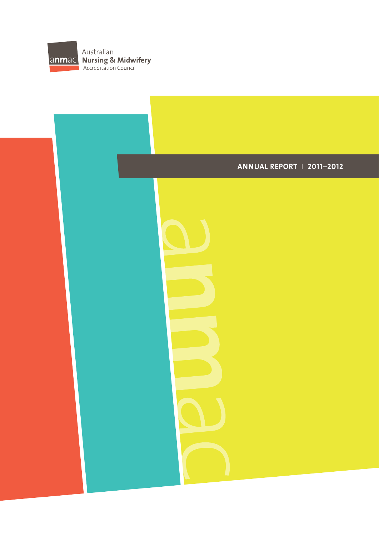

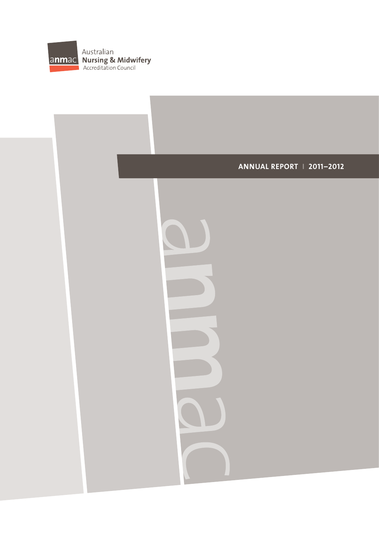

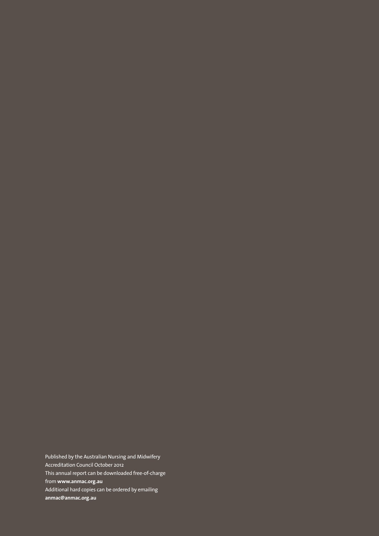Published by the Australian Nursing and Midwifery Accreditation Council October 2012 This annual report can be downloaded free-of-charge from **www.anmac.org.au**  Additional hard copies can be ordered by emailing **anmac@anmac.org.au**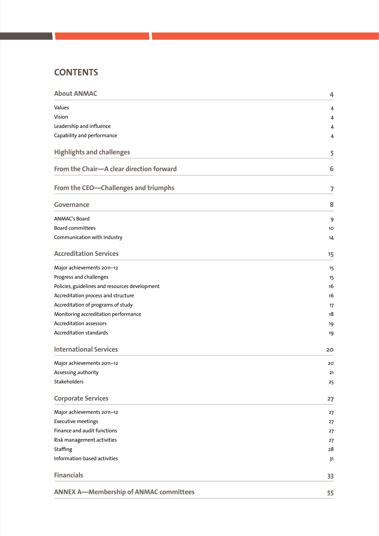# **CONTENTS**

| <b>About ANMAC</b>                             | 4  |
|------------------------------------------------|----|
| Values                                         | 4  |
| Vision                                         | 4  |
| Leadership and influence                       | 4  |
| Capability and performance                     | 4  |
| <b>Highlights and challenges</b>               | 5  |
| From the Chair-A clear direction forward       | 6  |
| From the CEO-Challenges and triumphs           | 7  |
| <b>Governance</b>                              | 8  |
| ANMAC's Board                                  | 9  |
| <b>Board committees</b>                        | 10 |
| Communication with Industry                    | 14 |
| <b>Accreditation Services</b>                  | 15 |
| Major achievements 2011-12                     | 15 |
| Progress and challenges                        | 15 |
| Policies, guidelines and resources development | 16 |
| Accreditation process and structure            | 16 |
| Accreditation of programs of study             | 17 |
| Monitoring accreditation performance           | 18 |
| <b>Accreditation assessors</b>                 | 19 |
| <b>Accreditation standards</b>                 | 19 |
| <b>International Services</b>                  | 20 |
| Major achievements 2011-12                     | 20 |
| Assessing authority                            | 21 |
| Stakeholders                                   | 25 |
| <b>Corporate Services</b>                      | 27 |
| Major achievements 2011-12                     | 27 |
| <b>Executive meetings</b>                      | 27 |
| Finance and audit functions                    | 27 |
| Risk management activities                     | 27 |
| Staffing                                       | 28 |
| Information-based activities                   | 31 |
| <b>Financials</b>                              | 33 |
| <b>ANNEX A-Membership of ANMAC committees</b>  | 55 |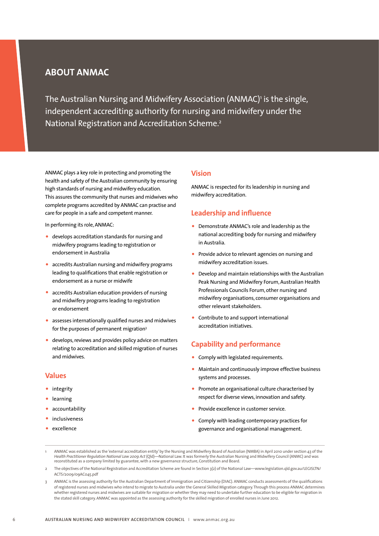# **About ANMAC**

The Australian Nursing and Midwifery Association (ANMAC)<sup>,</sup> is the single, independent accrediting authority for nursing and midwifery under the National Registration and Accreditation Scheme.2

ANMAC plays a key role in protecting and promoting the health and safety of the Australian community by ensuring high standards of nursing and midwifery education. This assures the community that nurses and midwives who complete programs accredited by ANMAC can practise and care for people in a safe and competent manner.

In performing its role, ANMAC:

- develops accreditation standards for nursing and midwifery programs leading to registration or endorsement in Australia
- accredits Australian nursing and midwifery programs leading to qualifications that enable registration or endorsement as a nurse or midwife
- accredits Australian education providers of nursing and midwifery programs leading to registration or endorsement
- assesses internationally qualified nurses and midwives for the purposes of permanent migration3
- develops, reviews and provides policy advice on matters relating to accreditation and skilled migration of nurses and midwives.

### **Values**

- integrity
- learning
- accountability
- inclusiveness
- excellence

### **Vision**

ANMAC is respected for its leadership in nursing and midwifery accreditation.

### **Leadership and influence**

- Demonstrate ANMAC's role and leadership as the national accrediting body for nursing and midwifery in Australia.
- Provide advice to relevant agencies on nursing and midwifery accreditation issues.
- Develop and maintain relationships with the Australian Peak Nursing and Midwifery Forum, Australian Health Professionals Councils Forum, other nursing and midwifery organisations, consumer organisations and other relevant stakeholders.
- Contribute to and support international accreditation initiatives.

### **Capability and performance**

- Comply with legislated requirements.
- Maintain and continuously improve effective business systems and processes.
- Promote an organisational culture characterised by respect for diverse views, innovation and safety.
- Provide excellence in customer service.
- Comply with leading contemporary practices for governance and organisational management.
- 1 ANMAC was established as the 'external accreditation entity' by the Nursing and Midwifery Board of Australian (NMBA) in April 2010 under section 43 of the<br>Health Practitioner Regulation National Law 2009 Act (Qld)—Nation
- 2 The objectives of the National Registration and Accreditation Scheme are found in Section 3(2) of the National Law—www.legislation.qld.gov.au/LEGISLTN/ ACTS/2009/09AC045.pdf
- ANMAC is the assessing authority for the Australian Department of Immigration and Citizenship (DIAC). ANMAC conducts assessments of the qualifications of registered nurses and midwives who intend to migrate to Australia under the General Skilled Migration category. Through this process ANMAC determines whether registered nurses and midwives are suitable for migration or whether they may need to undertake further education to be eligible for migration in the stated skill category. ANMAC was appointed as the assessing authority for the skilled migration of enrolled nurses in June 2012.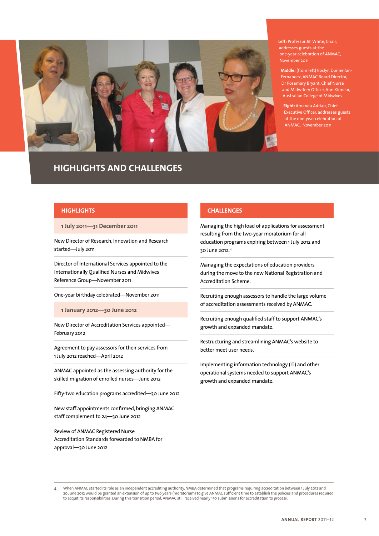

# **Highlights and Challenges**

**Left:** Professor Jill White, Chair, addresses guests at the one-year celebration of ANMAC, November 2011

**Middle:** (from left) Roslyn Donnellan-Fernandez, ANMAC Board Director, Dr Rosemary Bryant, Chief Nurse and Midwifery Officer, Ann Kinnear, Australian College of Midwives

**Right:** Amanda Adrian, Chief Executive Officer, addresses guests at the one-year celebration of ANMAC, November 2011

### **Highlights**

**1 July 2011—31 December 2011**

New Director of Research, Innovation and Research started—July 2011

Director of International Services appointed to the Internationally Qualified Nurses and Midwives Reference Group—November 2011

One-year birthday celebrated—November 2011

**1 January 2012—30 June 2012**

New Director of Accreditation Services appointed— February 2012

Agreement to pay assessors for their services from 1 July 2012 reached—April 2012

ANMAC appointed as the assessing authority for the skilled migration of enrolled nurses—June 2012

Fifty-two education programs accredited—30 June 2012

New staff appointments confirmed, bringing ANMAC staff complement to 24—30 June 2012

Review of ANMAC Registered Nurse Accreditation Standards forwarded to NMBA for approval—30 June 2012

### **Challenges**

Managing the high load of applications for assessment resulting from the two-year moratorium for all education programs expiring between 1 July 2012 and 30 June 2012.4

Managing the expectations of education providers during the move to the new National Registration and Accreditation Scheme.

Recruiting enough assessors to handle the large volume of accreditation assessments received by ANMAC.

Recruiting enough qualified staff to support ANMAC's growth and expanded mandate.

Restructuring and streamlining ANMAC's website to better meet user needs.

Implementing information technology (IT) and other operational systems needed to support ANMAC's growth and expanded mandate.

When ANMAC started its role as an independent accrediting authority, NMBA determined that programs requiring accreditation between 1 July 2012 and 20 June 2012 would be granted an extension of up to two years (moratorium) to give ANMAC sufficient time to establish the policies and procedures required to acquit its responsibilities. During this transition period, ANMAC still received nearly 150 submissions for accreditation to process.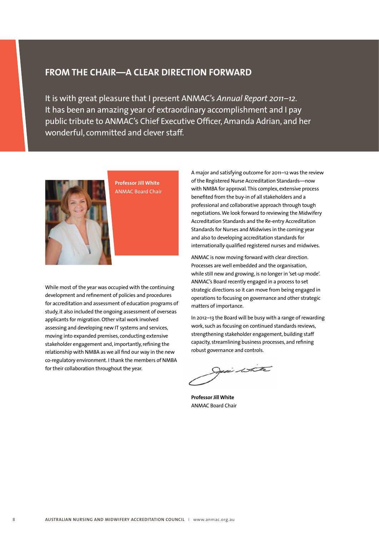# **FROM THE CHAIR—A CLEAR DIRECTION FORWARD**

It is with great pleasure that I present ANMAC's *Annual Report 2011–12*. It has been an amazing year of extraordinary accomplishment and I pay public tribute to ANMAC's Chief Executive Officer, Amanda Adrian, and her wonderful, committed and clever staff.



**Professor Jill White**  ANMAC Board Chair

While most of the year was occupied with the continuing development and refinement of policies and procedures for accreditation and assessment of education programs of study, it also included the ongoing assessment of overseas applicants for migration. Other vital work involved assessing and developing new IT systems and services, moving into expanded premises, conducting extensive stakeholder engagement and, importantly, refining the relationship with NMBA as we all find our way in the new co-regulatory environment. I thank the members of NMBA for their collaboration throughout the year.

A major and satisfying outcome for 2011–12 was the review of the Registered Nurse Accreditation Standards—now with NMBA for approval. This complex, extensive process benefited from the buy-in of all stakeholders and a professional and collaborative approach through tough negotiations. We look forward to reviewing the Midwifery Accreditation Standards and the Re-entry Accreditation Standards for Nurses and Midwives in the coming year and also to developing accreditation standards for internationally qualified registered nurses and midwives.

ANMAC is now moving forward with clear direction. Processes are well embedded and the organisation, while still new and growing, is no longer in 'set-up mode'. ANMAC's Board recently engaged in a process to set strategic directions so it can move from being engaged in operations to focusing on governance and other strategic matters of importance.

In 2012–13 the Board will be busy with a range of rewarding work, such as focusing on continued standards reviews, strengthening stakeholder engagement, building staff capacity, streamlining business processes, and refining robust governance and controls.

Jesi white

**Professor Jill White** ANMAC Board Chair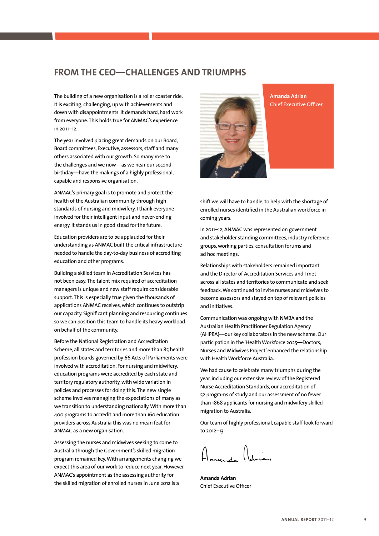# **FROM THE CEO—CHALLENGES AND TRIUMPHS**

The building of a new organisation is a roller coaster ride. It is exciting, challenging, up with achievements and down with disappointments. It demands hard, hard work from everyone. This holds true for ANMAC's experience in 2011–12.

The year involved placing great demands on our Board, Board committees, Executive, assessors, staff and many others associated with our growth. So many rose to the challenges and we now—as we near our second birthday—have the makings of a highly professional, capable and responsive organisation.

ANMAC's primary goal is to promote and protect the health of the Australian community through high standards of nursing and midwifery. I thank everyone involved for their intelligent input and never-ending energy. It stands us in good stead for the future.

Education providers are to be applauded for their understanding as ANMAC built the critical infrastructure needed to handle the day-to-day business of accrediting education and other programs.

Building a skilled team in Accreditation Services has not been easy. The talent mix required of accreditation managers is unique and new staff require considerable support. This is especially true given the thousands of applications ANMAC receives, which continues to outstrip our capacity. Significant planning and resourcing continues so we can position this team to handle its heavy workload on behalf of the community.

Before the National Registration and Accreditation Scheme, all states and territories and more than 85 health profession boards governed by 66 Acts of Parliaments were involved with accreditation. For nursing and midwifery, education programs were accredited by each state and territory regulatory authority, with wide variation in policies and processes for doing this. The new single scheme involves managing the expectations of many as we transition to understanding nationally. With more than 400 programs to accredit and more than 160 education providers across Australia this was no mean feat for ANMAC as a new organisation.

Assessing the nurses and midwives seeking to come to Australia through the Government's skilled migration program remained key. With arrangements changing we expect this area of our work to reduce next year. However, ANMAC's appointment as the assessing authority for the skilled migration of enrolled nurses in June 2012 is a



**Amanda Adrian** Chief Executive Officer

shift we will have to handle, to help with the shortage of enrolled nurses identified in the Australian workforce in coming years.

In 2011–12, ANMAC was represented on government and stakeholder standing committees, industry reference groups, working parties, consultation forums and ad hoc meetings.

Relationships with stakeholders remained important and the Director of Accreditation Services and I met across all states and territories to communicate and seek feedback. We continued to invite nurses and midwives to become assessors and stayed on top of relevant policies and initiatives.

Communication was ongoing with NMBA and the Australian Health Practitioner Regulation Agency (AHPRA)—our key collaborators in the new scheme. Our participation in the 'Health Workforce 2025—Doctors, Nurses and Midwives Project' enhanced the relationship with Health Workforce Australia.

We had cause to celebrate many triumphs during the year, including our extensive review of the Registered Nurse Accreditation Standards, our accreditation of 52 programs of study and our assessment of no fewer than 1868 applicants for nursing and midwifery skilled migration to Australia.

Our team of highly professional, capable staff look forward to 2012–13.

nanda Adrian

**Amanda Adrian** Chief Executive Officer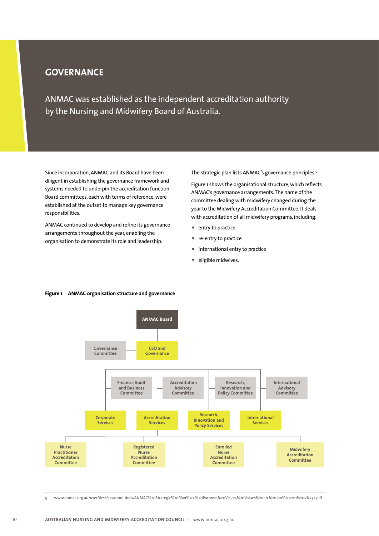# **GOVERNANCE**

ANMAC was established as the independent accreditation authority by the Nursing and Midwifery Board of Australia.

Since incorporation, ANMAC and its Board have been diligent in establishing the governance framework and systems needed to underpin the accreditation function. Board committees, each with terms of reference, were established at the outset to manage key governance responsibilities.

ANMAC continued to develop and refine its governance arrangements throughout the year, enabling the organisation to demonstrate its role and leadership.

The strategic plan lists ANMAC's governance principles.5

Figure 1 shows the organisational structure, which reflects ANMAC's governance arrangements. The name of the committee dealing with midwifery changed during the year to the Midwifery Accreditation Committee. It deals with accreditation of all midwifery programs, including:

- entry to practice
- re-entry to practice
- international entry to practice
- eligible midwives.



#### **Figure 1 ANMAC organisation structure and governance**

5 www.anmac.org.au/userfiles/file/anmc\_docs/ANMAC%20Strategic%20Plan%20-%20Purpose,%20Vision,%20Values%20etc%20Jan%202011%20v%232.pdf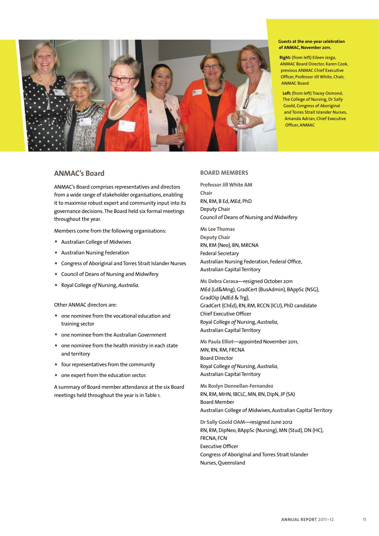

#### **Guests at the one-year celebration of ANMAC, November 2011.**

**Right:** (from left) Eileen Jerga, ANMAC Board Director, Karen Cook, previous ANMAC Chief Executive Officer, Professor Jill White, Chair, ANMAC Board

**Left:** (from left) Tracey Osmond, The College of Nursing, Dr Sally Goold, Congress of Aboriginal and Torres Strait Islander Nurses, Amanda Adrian, Chief Executive Officer, ANMAC

### **ANMAC's Board**

ANMAC's Board comprises representatives and directors from a wide range of stakeholder organisations, enabling it to maximise robust expert and community input into its governance decisions. The Board held six formal meetings throughout the year.

Members come from the following organisations:

- Australian College of Midwives
- Australian Nursing Federation
- Congress of Aboriginal and Torres Strait Islander Nurses
- Council of Deans of Nursing and Midwifery
- Royal College *of* Nursing, *Australia*.

Other ANMAC directors are:

- one nominee from the vocational education and training sector
- one nominee from the Australian Government
- one nominee from the health ministry in each state and territory
- four representatives from the community
- one expert from the education sector.

A summary of Board member attendance at the six Board meetings held throughout the year is in Table 1.

### **Board members**

**Professor Jill White AM Chair** RN, RM, B Ed, MEd, PhD Deputy Chair Council of Deans of Nursing and Midwifery

**Ms Lee Thomas Deputy Chair** RN, RM (Neo), BN, MRCNA Federal Secretary Australian Nursing Federation, Federal Office, Australian Capital Territory

**Ms Debra Cerasa**—resigned October 2011 MEd (Ld&Mng), GradCert (BusAdmin), BAppSc (NSG), GradDip (AdEd & Trg), GradCert (ChEd), RN, RM, RCCN (ICU), PhD candidate Chief Executive Officer Royal College *of* Nursing, *Australia*, Australian Capital Territory

**Ms Paula Elliot**—appointed November 2011, MN, RN, RM, FRCNA Board Director Royal College *of* Nursing, *Australia*, Australian Capital Territory

**Ms Roslyn Donnellan-Fernandez** RN, RM, MHN, IBCLC, MN, BN, DipN, JP (SA) Board Member Australian College of Midwives, Australian Capital Territory

**Dr Sally Goold OAM**—resigned June 2012 RN, RM, DipNeo, BAppSc (Nursing), MN (Stud), DN (HC), FRCNA, FCN Executive Officer Congress of Aboriginal and Torres Strait Islander Nurses, Queensland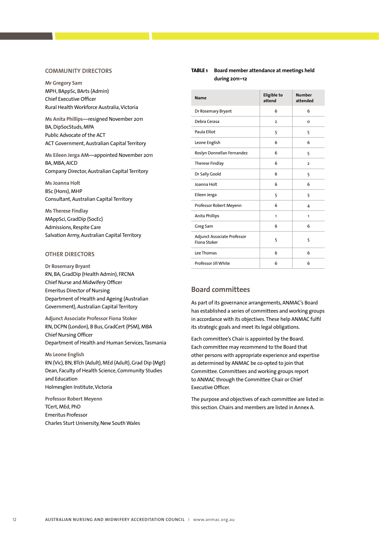#### **Communit y directors**

**Mr Gregory Sam** MPH, BAppSc, BArts (Admin) Chief Executive Officer Rural Health Workforce Australia, Victoria

**Ms Anita Phillips**—resigned November 2011 BA, DipSocStuds, MPA Public Advocate of the ACT ACT Government, Australian Capital Territory

**Ms Eileen Jerga AM**—appointed November 2011 BA, MBA, AICD Company Director, Australian Capital Territory

**Ms Joanna Holt** BSc (Hons), MHP Consultant, Australian Capital Territory

**Ms Therese Findlay** MAppSci, GradDip (SocEc) Admissions, Respite Care Salvation Army, Australian Capital Territory

### **Other directors**

**Dr Rosemary Bryant** RN, BA, GradDip (Health Admin), FRCNA Chief Nurse and Midwifery Officer Emeritus Director of Nursing Department of Health and Ageing (Australian Government), Australian Capital Territory

**Adjunct Associate Professor Fiona Stoker** RN, DCPN (London), B Bus, GradCert (PSM), MBA Chief Nursing Officer Department of Health and Human Services, Tasmania

**Ms Leone English** RN (Vic), BN, BTch (Adult), MEd (Adult), Grad Dip (Mgt) Dean, Faculty of Health Science, Community Studies and Education Holmesglen Institute, Victoria

**Professor Robert Meyenn** TCert, MEd, PhD Emeritus Professor Charles Sturt University, New South Wales

### **Table 1 Board member attendance at meetings held during 2011–12**

| <b>Name</b>                                 | <b>Eligible to</b><br>attend | <b>Number</b><br>attended |
|---------------------------------------------|------------------------------|---------------------------|
| Dr Rosemary Bryant                          | 6                            | 6                         |
| Debra Cerasa                                | $\overline{2}$               | O                         |
| Paula Elliot                                | 5                            | 5                         |
| Leone English                               | 6                            | 6                         |
| Roslyn Donnellan Fernandez                  | 6                            | 5                         |
| Therese Findlay                             | 6                            | $\overline{2}$            |
| Dr Sally Goold                              | 6                            | 5                         |
| Joanna Holt                                 | 6                            | 6                         |
| Eileen Jerga                                | 5                            | 5                         |
| Professor Robert Meyenn                     | 6                            | 4                         |
| Anita Phillips                              | 1                            | 1                         |
| Greg Sam                                    | 6                            | 6                         |
| Adjunct Associate Professor<br>Fiona Stoker | 5                            | 5                         |
| Lee Thomas                                  | 6                            | 6                         |
| Professor Jill White                        | 6                            | 6                         |

### **Board committees**

As part of its governance arrangements, ANMAC's Board has established a series of committees and working groups in accordance with its objectives. These help ANMAC fulfil its strategic goals and meet its legal obligations.

Each committee's Chair is appointed by the Board. Each committee may recommend to the Board that other persons with appropriate experience and expertise as determined by ANMAC be co-opted to join that Committee. Committees and working groups report to ANMAC through the Committee Chair or Chief Executive Officer.

The purpose and objectives of each committee are listed in this section. Chairs and members are listed in Annex A.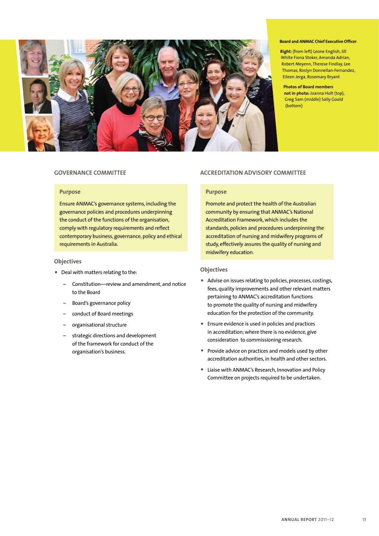

#### **Board and ANMAC Chief Executive Officer**

**Right:** (from left) Leone English, Jill White Fiona Stoker, Amanda Adrian, Robert Meyenn, Therese Findlay, Lee Thomas, Roslyn Donnellan-Fernandez, Eileen Jerga, Rosemary Bryant

**Photos of Board members not in photo:** Joanna Holt (top), Greg Sam (middle) Sally Goold (bottom)

### **Governance Committee**

### **Purpose**

Ensure ANMAC's governance systems, including the governance policies and procedures underpinning the conduct of the functions of the organisation, comply with regulatory requirements and reflect contemporary business, governance, policy and ethical requirements in Australia.

### **Objectives**

- Deal with matters relating to the:
	- Constitution—review and amendment, and notice to the Board
	- Board's governance policy
	- conduct of Board meetings
	- organisational structure
	- strategic directions and development of the framework for conduct of the organisation's business.

### **ACCREDITATION ADVISORY COMMITTEE**

### **Purpose**

Promote and protect the health of the Australian community by ensuring that ANMAC's National Accreditation Framework, which includes the standards, policies and procedures underpinning the accreditation of nursing and midwifery programs of study, effectively assures the quality of nursing and midwifery education.

### **Objectives**

- Advise on issues relating to policies, processes, costings, fees, quality improvements and other relevant matters pertaining to ANMAC's accreditation functions to promote the quality of nursing and midwifery education for the protection of the community.
- Ensure evidence is used in policies and practices in accreditation; where there is no evidence, give consideration to commissioning research.
- Provide advice on practices and models used by other accreditation authorities, in health and other sectors.
- Liaise with ANMAC's Research, Innovation and Policy Committee on projects required to be undertaken.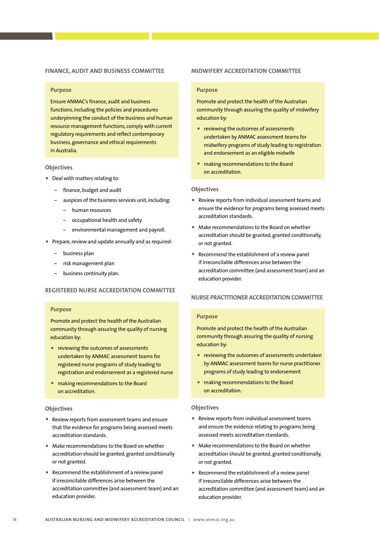#### **Finance, Audit and Business Committee**

#### **Purpose**

Ensure ANMAC's finance, audit and business functions, including the policies and procedures underpinning the conduct of the business and human resource management functions, comply with current regulatory requirements and reflect contemporary business, governance and ethical requirements in Australia.

#### **Objectives**

- Deal with matters relating to:
	- finance, budget and audit
	- auspices of the business services unit, including:
		- human resources
		- occupational health and safety
		- environmental management and payroll.
- Prepare, review and update annually and as required:
	- business plan
	- risk management plan
	- business continuity plan.

### **REGISTERED NURSE ACCREDITATION COMMITTEE**

### **Purpose**

Promote and protect the health of the Australian community through assuring the quality of nursing education by:

- reviewing the outcomes of assessments undertaken by ANMAC assessment teams for registered nurse programs of study leading to registration and endorsement as a registered nurse
- making recommendations to the Board on accreditation.

### **Objectives**

- Review reports from assessment teams and ensure that the evidence for programs being assessed meets accreditation standards.
- Make recommendations to the Board on whether accreditation should be granted, granted conditionally or not granted.
- Recommend the establishment of a review panel if irreconcilable differences arise between the accreditation committee (and assessment team) and an education provider.

#### **MIDWIFERY ACCREDITATION COMMITTEE**

#### **Purpose**

Promote and protect the health of the Australian community through assuring the quality of midwifery education by:

- reviewing the outcomes of assessments undertaken by ANMAC assessment teams for midwifery programs of study leading to registration and endorsement as an eligible midwife
- making recommendations to the Board on accreditation.

#### **Objectives**

- Review reports from individual assessment teams and ensure the evidence for programs being assessed meets accreditation standards.
- Make recommendations to the Board on whether accreditation should be granted, granted conditionally, or not granted.
- Recommend the establishment of a review panel if irreconcilable differences arise between the accreditation committee (and assessment team) and an education provider.

### **Nurse Practitioner ACCREDITATION Committee**

### **Purpose**

Promote and protect the health of the Australian community through assuring the quality of nursing education by:

- reviewing the outcomes of assessments undertaken by ANMAC assessment teams for nurse practitioner programs of study leading to endorsement
- making recommendations to the Board on accreditation.

### **Objectives**

- Review reports from individual assessment teams and ensure the evidence relating to programs being assessed meets accreditation standards.
- Make recommendations to the Board on whether accreditation should be granted, granted conditionally, or not granted.
- Recommend the establishment of a review panel if irreconcilable differences arise between the accreditation committee (and assessment team) and an education provider.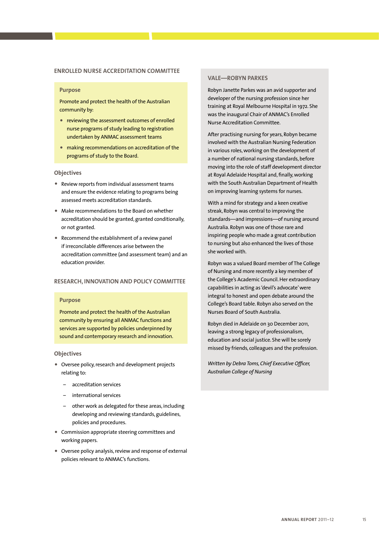### **Enrolled Nurse ACCREDITATION Committee**

#### **Purpose**

Promote and protect the health of the Australian community by:

- reviewing the assessment outcomes of enrolled nurse programs of study leading to registration undertaken by ANMAC assessment teams
- making recommendations on accreditation of the programs of study to the Board.

#### **Objectives**

- Review reports from individual assessment teams and ensure the evidence relating to programs being assessed meets accreditation standards.
- Make recommendations to the Board on whether accreditation should be granted, granted conditionally, or not granted.
- Recommend the establishment of a review panel if irreconcilable differences arise between the accreditation committee (and assessment team) and an education provider.

### **Research , Innovation and Policy Committee**

#### **Purpose**

Promote and protect the health of the Australian community by ensuring all ANMAC functions and services are supported by policies underpinned by sound and contemporary research and innovation.

### **Objectives**

- Oversee policy, research and development projects relating to:
	- accreditation services
	- international services
	- other work as delegated for these areas, including developing and reviewing standards, guidelines, policies and procedures.
- Commission appropriate steering committees and working papers.
- Oversee policy analysis, review and response of external policies relevant to ANMAC's functions.

### **Vale—Robyn Parkes**

Robyn Janette Parkes was an avid supporter and developer of the nursing profession since her training at Royal Melbourne Hospital in 1972. She was the inaugural Chair of ANMAC's Enrolled Nurse Accreditation Committee.

After practising nursing for years, Robyn became involved with the Australian Nursing Federation in various roles, working on the development of a number of national nursing standards, before moving into the role of staff development director at Royal Adelaide Hospital and, finally, working with the South Australian Department of Health on improving learning systems for nurses.

With a mind for strategy and a keen creative streak, Robyn was central to improving the standards—and impressions—of nursing around Australia. Robyn was one of those rare and inspiring people who made a great contribution to nursing but also enhanced the lives of those she worked with.

Robyn was a valued Board member of The College of Nursing and more recently a key member of the College's Academic Council. Her extraordinary capabilities in acting as 'devil's advocate' were integral to honest and open debate around the College's Board table. Robyn also served on the Nurses Board of South Australia.

Robyn died in Adelaide on 30 December 2011, leaving a strong legacy of professionalism, education and social justice. She will be sorely missed by friends, colleagues and the profession.

*Written by Debra Toms, Chief Executive Officer, Australian College of Nursing*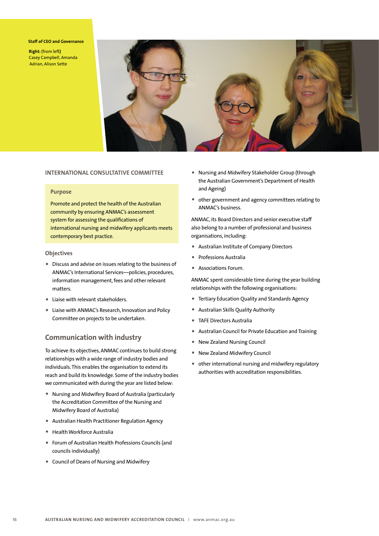#### **Staff of CEO and Governance**

**Right:** (from left**)**  Casey Campbell, Amanda Adrian, Alison Sette



### **International Consultative Committee**

### **Purpose**

Promote and protect the health of the Australian community by ensuring ANMAC's assessment system for assessing the qualifications of international nursing and midwifery applicants meets contemporary best practice.

### **Objectives**

- Discuss and advise on issues relating to the business of ANMAC's International Services—policies, procedures, information management, fees and other relevant matters.
- Liaise with relevant stakeholders.
- Liaise with ANMAC's Research, Innovation and Policy Committee on projects to be undertaken.

### **Communication with industry**

To achieve its objectives, ANMAC continues to build strong relationships with a wide range of industry bodies and individuals. This enables the organisation to extend its reach and build its knowledge. Some of the industry bodies we communicated with during the year are listed below:

- Nursing and Midwifery Board of Australia (particularly the Accreditation Committee of the Nursing and Midwifery Board of Australia)
- Australian Health Practitioner Regulation Agency
- Health Workforce Australia
- Forum of Australian Health Professions Councils (and councils individually)
- Council of Deans of Nursing and Midwifery
- Nursing and Midwifery Stakeholder Group (through the Australian Government's Department of Health and Ageing)
- other government and agency committees relating to ANMAC's business.

ANMAC, its Board Directors and senior executive staff also belong to a number of professional and business organisations, including:

- Australian Institute of Company Directors
- Professions Australia
- Associations Forum.

ANMAC spent considerable time during the year building relationships with the following organisations:

- Tertiary Education Quality and Standards Agency
- Australian Skills Quality Authority
- TAFE Directors Australia
- Australian Council for Private Education and Training
- New Zealand Nursing Council
- New Zealand Midwifery Council
- other international nursing and midwifery regulatory authorities with accreditation responsibilities.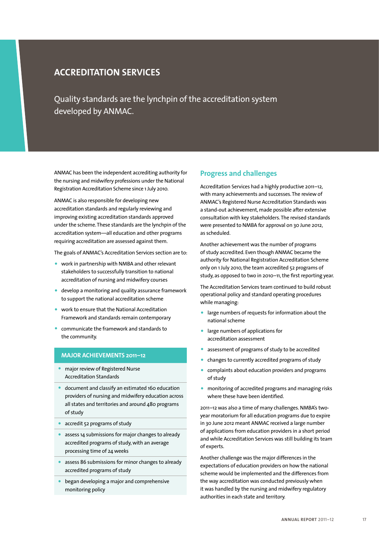# **ACCREDITATION SERVICES**

Quality standards are the lynchpin of the accreditation system developed by ANMAC.

ANMAC has been the independent accrediting authority for the nursing and midwifery professions under the National Registration Accreditation Scheme since 1 July 2010.

ANMAC is also responsible for developing new accreditation standards and regularly reviewing and improving existing accreditation standards approved under the scheme. These standards are the lynchpin of the accreditation system—all education and other programs requiring accreditation are assessed against them.

The goals of ANMAC's Accreditation Services section are to:

- work in partnership with NMBA and other relevant stakeholders to successfully transition to national accreditation of nursing and midwifery courses
- develop a monitoring and quality assurance framework to support the national accreditation scheme
- work to ensure that the National Accreditation Framework and standards remain contemporary
- communicate the framework and standards to the community.

### **MAJOR ACHIEVEMENTS 2011–12**

- major review of Registered Nurse Accreditation Standards
- document and classify an estimated 160 education providers of nursing and midwifery education across all states and territories and around 480 programs of study
- accredit 52 programs of study
- assess 14 submissions for major changes to already accredited programs of study, with an average processing time of 24 weeks
- assess 86 submissions for minor changes to already accredited programs of study
- began developing a major and comprehensive monitoring policy

### **Progress and challenges**

Accreditation Services had a highly productive 2011–12, with many achievements and successes. The review of ANMAC's Registered Nurse Accreditation Standards was a stand-out achievement, made possible after extensive consultation with key stakeholders. The revised standards were presented to NMBA for approval on 30 June 2012, as scheduled.

Another achievement was the number of programs of study accredited. Even though ANMAC became the authority for National Registration Accreditation Scheme only on 1 July 2010, the team accredited 52 programs of study, as opposed to two in 2010–11, the first reporting year.

The Accreditation Services team continued to build robust operational policy and standard operating procedures while managing:

- large numbers of requests for information about the national scheme
- large numbers of applications for accreditation assessment
- assessment of programs of study to be accredited
- changes to currently accredited programs of study
- complaints about education providers and programs of study
- monitoring of accredited programs and managing risks where these have been identified.

2011–12 was also a time of many challenges. NMBA's twoyear moratorium for all education programs due to expire in 30 June 2012 meant ANMAC received a large number of applications from education providers in a short period and while Accreditation Services was still building its team of experts.

Another challenge was the major differences in the expectations of education providers on how the national scheme would be implemented and the differences from the way accreditation was conducted previously when it was handled by the nursing and midwifery regulatory authorities in each state and territory.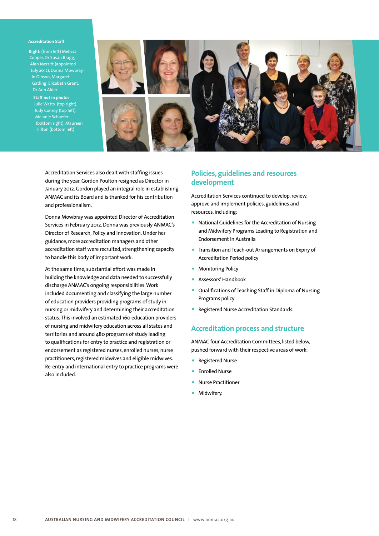#### **Accreditation Staff**

**Right:** (from left**)** Melissa Cooper, Dr Susan Bragg, Alan Merritt (appointed July 2012), Donna Mowbray, Jo Gibson, Margaret Gatling, Elizabeth Grant, Dr Ann Alder

**Staff not in photo:**  Julie Watts (top right), Judy Conroy (top left), Melanie Schaefer (bottom right), Maureen



Accreditation Services also dealt with staffing issues during the year. Gordon Poulton resigned as Director in January 2012. Gordon played an integral role in establishing ANMAC and its Board and is thanked for his contribution and professionalism.

Donna Mowbray was appointed Director of Accreditation Services in February 2012. Donna was previously ANMAC's Director of Research, Policy and Innovation. Under her guidance, more accreditation managers and other accreditation staff were recruited, strengthening capacity to handle this body of important work.

At the same time, substantial effort was made in building the knowledge and data needed to successfully discharge ANMAC's ongoing responsibilities. Work included documenting and classifying the large number of education providers providing programs of study in nursing or midwifery and determining their accreditation status. This involved an estimated 160 education providers of nursing and midwifery education across all states and territories and around 480 programs of study leading to qualifications for entry to practice and registration or endorsement as registered nurses, enrolled nurses, nurse practitioners, registered midwives and eligible midwives. Re-entry and international entry to practice programs were also included.

### **Policies, guidelines and resources development**

Accreditation Services continued to develop, review, approve and implement policies, guidelines and resources, including:

- National Guidelines for the Accreditation of Nursing and Midwifery Programs Leading to Registration and Endorsement in Australia
- Transition and Teach-out Arrangements on Expiry of Accreditation Period policy
- Monitoring Policy
- Assessors' Handbook
- Qualifications of Teaching Staff in Diploma of Nursing Programs policy
- Registered Nurse Accreditation Standards.

### **Accreditation process and structure**

ANMAC four Accreditation Committees, listed below, pushed forward with their respective areas of work:

- Registered Nurse
- Enrolled Nurse
- Nurse Practitioner
- Midwifery.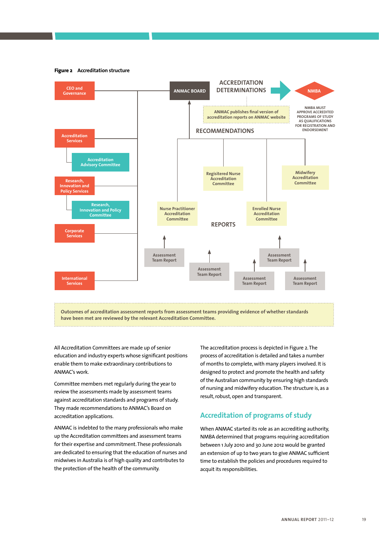**Figure 2 Accreditation structure**



All Accreditation Committees are made up of senior education and industry experts whose significant positions enable them to make extraordinary contributions to ANMAC's work.

Committee members met regularly during the year to review the assessments made by assessment teams against accreditation standards and programs of study. They made recommendations to ANMAC's Board on accreditation applications.

ANMAC is indebted to the many professionals who make up the Accreditation committees and assessment teams for their expertise and commitment. These professionals are dedicated to ensuring that the education of nurses and midwives in Australia is of high quality and contributes to the protection of the health of the community.

The accreditation process is depicted in Figure 2. The process of accreditation is detailed and takes a number of months to complete, with many players involved. It is designed to protect and promote the health and safety of the Australian community by ensuring high standards of nursing and midwifery education. The structure is, as a result, robust, open and transparent.

## **Accreditation of programs of study**

When ANMAC started its role as an accrediting authority, NMBA determined that programs requiring accreditation between 1 July 2010 and 30 June 2012 would be granted an extension of up to two years to give ANMAC sufficient time to establish the policies and procedures required to acquit its responsibilities.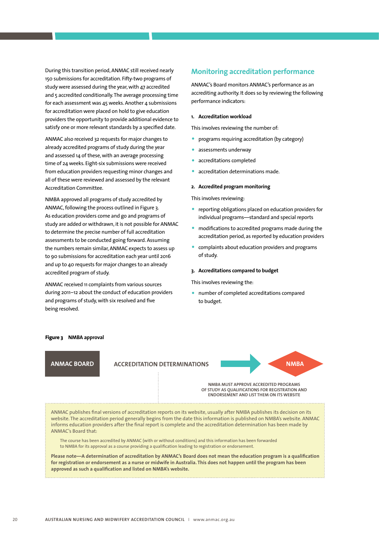During this transition period, ANMAC still received nearly 150 submissions for accreditation. Fifty-two programs of study were assessed during the year, with 47 accredited and 5 accredited conditionally. The average processing time for each assessment was 45 weeks. Another 4 submissions for accreditation were placed on hold to give education providers the opportunity to provide additional evidence to satisfy one or more relevant standards by a specified date.

ANMAC also received 32 requests for major changes to already accredited programs of study during the year and assessed 14 of these, with an average processing time of 24 weeks. Eight-six submissions were received from education providers requesting minor changes and all of these were reviewed and assessed by the relevant Accreditation Committee.

NMBA approved all programs of study accredited by ANMAC, following the process outlined in Figure 3. As education providers come and go and programs of study are added or withdrawn, it is not possible for ANMAC to determine the precise number of full accreditation assessments to be conducted going forward. Assuming the numbers remain similar, ANMAC expects to assess up to 90 submissions for accreditation each year until 2016 and up to 40 requests for major changes to an already accredited program of study.

ANMAC received 11 complaints from various sources during 2011–12 about the conduct of education providers and programs of study, with six resolved and five being resolved.

### **Monitoring accreditation performance**

ANMAC's Board monitors ANMAC's performance as an accrediting authority. It does so by reviewing the following performance indicators:

### **1. Accreditation workload**

This involves reviewing the number of:

- programs requiring accreditation (by category)
- assessments underway
- accreditations completed
- accreditation determinations made.

#### **2. Accredited program monitoring**

This involves reviewing:

- reporting obligations placed on education providers for individual programs—standard and special reports
- modifications to accredited programs made during the accreditation period, as reported by education providers
- complaints about education providers and programs of study.

#### **3. Accreditations compared to budget**

This involves reviewing the:

• number of completed accreditations compared to budget.

#### **Figure 3 NMBA approval**

### **ANMAC BOARD NMBA ACCREDITATION DETERMINATIONS**

**NMBA MUST APPROVE ACCREDITED PROGRAMS OF STUDY AS QUALIFICATIONS FOR REGISTRATION AND ENDORSEMENT AND LIST THEM ON ITS WEBSITE**

ANMAC publishes final versions of accreditation reports on its website, usually after NMBA publishes its decision on its website. The accreditation period generally begins from the date this information is published on NMBA's website. ANMAC informs education providers after the final report is complete and the accreditation determination has been made by ANMAC's Board that:

The course has been accredited by ANMAC (with or without conditions) and this information has been forwarded to NMBA for its approval as a course providing a qualification leading to registration or endorsement.

**Please note—A determination of accreditation by ANMAC's Board does not mean the education program is a qualification for registration or endorsement as a nurse or midwife in Australia. This does not happen until the program has been approved as such a qualification and listed on NMBA's website.**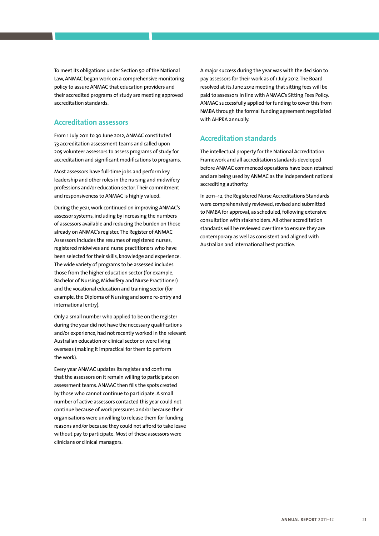To meet its obligations under Section 50 of the National Law, ANMAC began work on a comprehensive monitoring policy to assure ANMAC that education providers and their accredited programs of study are meeting approved accreditation standards.

### **Accreditation assessors**

From 1 July 2011 to 30 June 2012, ANMAC constituted 73 accreditation assessment teams and called upon 205 volunteer assessors to assess programs of study for accreditation and significant modifications to programs.

Most assessors have full-time jobs and perform key leadership and other roles in the nursing and midwifery professions and/or education sector. Their commitment and responsiveness to ANMAC is highly valued.

During the year, work continued on improving ANMAC's assessor systems, including by increasing the numbers of assessors available and reducing the burden on those already on ANMAC's register. The Register of ANMAC Assessors includes the resumes of registered nurses, registered midwives and nurse practitioners who have been selected for their skills, knowledge and experience. The wide variety of programs to be assessed includes those from the higher education sector (for example, Bachelor of Nursing, Midwifery and Nurse Practitioner) and the vocational education and training sector (for example, the Diploma of Nursing and some re-entry and international entry).

Only a small number who applied to be on the register during the year did not have the necessary qualifications and/or experience, had not recently worked in the relevant Australian education or clinical sector or were living overseas (making it impractical for them to perform the work).

Every year ANMAC updates its register and confirms that the assessors on it remain willing to participate on assessment teams. ANMAC then fills the spots created by those who cannot continue to participate. A small number of active assessors contacted this year could not continue because of work pressures and/or because their organisations were unwilling to release them for funding reasons and/or because they could not afford to take leave without pay to participate. Most of these assessors were clinicians or clinical managers.

A major success during the year was with the decision to pay assessors for their work as of 1 July 2012.The Board resolved at its June 2012 meeting that sitting fees will be paid to assessors in line with ANMAC's Sitting Fees Policy. ANMAC successfully applied for funding to cover this from NMBA through the formal funding agreement negotiated with AHPRA annually.

## **Accreditation standards**

The intellectual property for the National Accreditation Framework and all accreditation standards developed before ANMAC commenced operations have been retained and are being used by ANMAC as the independent national accrediting authority.

In 2011–12, the Registered Nurse Accreditations Standards were comprehensively reviewed, revised and submitted to NMBA for approval, as scheduled, following extensive consultation with stakeholders. All other accreditation standards will be reviewed over time to ensure they are contemporary as well as consistent and aligned with Australian and international best practice.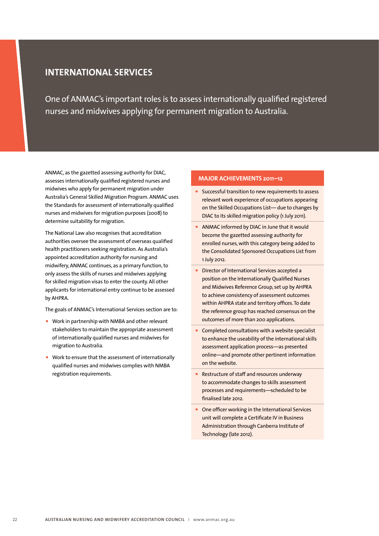# **INTERNATIONAL SERVICES**

One of ANMAC's important roles is to assess internationally qualified registered nurses and midwives applying for permanent migration to Australia.

ANMAC, as the gazetted assessing authority for DIAC, assesses internationally qualified registered nurses and midwives who apply for permanent migration under Australia's General Skilled Migration Program. ANMAC uses the Standards for assessment of internationally qualified nurses and midwives for migration purposes (2008) to determine suitability for migration.

The National Law also recognises that accreditation authorities oversee the assessment of overseas qualified health practitioners seeking registration. As Australia's appointed accreditation authority for nursing and midwifery, ANMAC continues, as a primary function, to only assess the skills of nurses and midwives applying for skilled migration visas to enter the county. All other applicants for international entry continue to be assessed by AHPRA.

The goals of ANMAC's International Services section are to:

- Work in partnership with NMBA and other relevant stakeholders to maintain the appropriate assessment of internationally qualified nurses and midwives for migration to Australia.
- Work to ensure that the assessment of internationally qualified nurses and midwives complies with NMBA registration requirements.

### **MAJOR ACHIEVEMENTS 2011–12**

- Successful transition to new requirements to assess relevant work experience of occupations appearing on the Skilled Occupations List— due to changes by DIAC to its skilled migration policy (1 July 2011).
- ANMAC informed by DIAC in June that it would become the gazetted assessing authority for enrolled nurses, with this category being added to the Consolidated Sponsored Occupations List from 1 July 2012.
- Director of International Services accepted a position on the Internationally Qualified Nurses and Midwives Reference Group, set up by AHPRA to achieve consistency of assessment outcomes within AHPRA state and territory offices. To date the reference group has reached consensus on the outcomes of more than 200 applications.
- Completed consultations with a website specialist to enhance the useability of the international skills assessment application process—as presented online—and promote other pertinent information on the website.
- Restructure of staff and resources underway to accommodate changes to skills assessment processes and requirements—scheduled to be finalised late 2012.
- One officer working in the International Services unit will complete a Certificate IV in Business Administration through Canberra Institute of Technology (late 2012).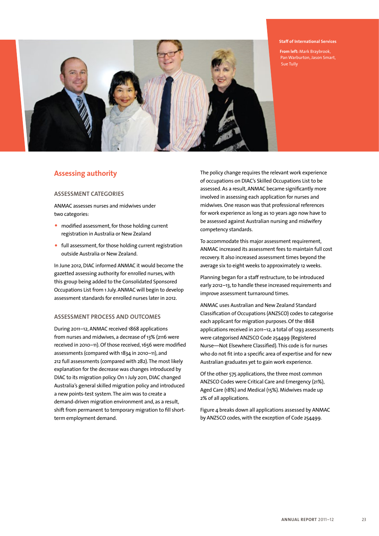

#### **Staff of International Services**

**From left:** Mark Braybrook, Pan Warburton, Jason Smart, Sue Tully

### **Assessing authority**

### **Assessment categories**

ANMAC assesses nurses and midwives under two categories:

- modified assessment, for those holding current registration in Australia or New Zealand
- full assessment, for those holding current registration outside Australia or New Zealand.

In June 2012, DIAC informed ANMAC it would become the gazetted assessing authority for enrolled nurses, with this group being added to the Consolidated Sponsored Occupations List from 1 July. ANMAC will begin to develop assessment standards for enrolled nurses later in 2012.

### **Assessment process and outcomes**

During 2011–12, ANMAC received 1868 applications from nurses and midwives, a decrease of 13% (2116 were received in 2010–11). Of those received, 1656 were modified assessments (compared with 1834 in 2010–11), and 212 full assessments (compared with 282). The most likely explanation for the decrease was changes introduced by DIAC to its migration policy. On 1 July 2011, DIAC changed Australia's general skilled migration policy and introduced a new points-test system. The aim was to create a demand-driven migration environment and, as a result, shift from permanent to temporary migration to fill shortterm employment demand.

The policy change requires the relevant work experience of occupations on DIAC's Skilled Occupations List to be assessed. As a result, ANMAC became significantly more involved in assessing each application for nurses and midwives. One reason was that professional references for work experience as long as 10 years ago now have to be assessed against Australian nursing and midwifery competency standards.

To accommodate this major assessment requirement, ANMAC increased its assessment fees to maintain full cost recovery. It also increased assessment times beyond the average six to eight weeks to approximately 12 weeks.

Planning began for a staff restructure, to be introduced early 2012–13, to handle these increased requirements and improve assessment turnaround times.

ANMAC uses Australian and New Zealand Standard Classification of Occupations (ANZSCO) codes to categorise each applicant for migration purposes. Of the 1868 applications received in 2011–12, a total of 1293 assessments were categorised ANZSCO Code 254499 (Registered Nurse—Not Elsewhere Classified). This code is for nurses who do not fit into a specific area of expertise and for new Australian graduates yet to gain work experience.

Of the other 575 applications, the three most common ANZSCO Codes were Critical Care and Emergency (21%), Aged Care (18%) and Medical (15%). Midwives made up 2% of all applications.

Figure 4 breaks down all applications assessed by ANMAC by ANZSCO codes, with the exception of Code 254499.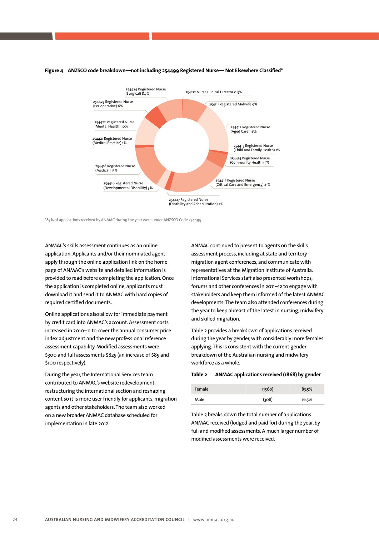

#### **Figure 4 ANZSCO code breakdown—not including 254499 Registered Nurse— Not Elsewhere Classified\***

\*87% of applications received by ANMAC during the year were under ANZSCO Code 254499

ANMAC's skills assessment continues as an online application. Applicants and/or their nominated agent apply through the online application link on the home page of ANMAC's website and detailed information is provided to read before completing the application. Once the application is completed online, applicants must download it and send it to ANMAC with hard copies of required certified documents.

Online applications also allow for immediate payment by credit card into ANMAC's account. Assessment costs increased in 2010–11 to cover the annual consumer price index adjustment and the new professional reference assessment capability. Modified assessments were \$300 and full assessments \$825 (an increase of \$85 and \$100 respectively).

During the year, the International Services team contributed to ANMAC's website redevelopment, restructuring the international section and reshaping content so it is more user friendly for applicants, migration agents and other stakeholders. The team also worked on a new broader ANMAC database scheduled for implementation in late 2012.

ANMAC continued to present to agents on the skills assessment process, including at state and territory migration agent conferences, and communicate with representatives at the Migration Institute of Australia. International Services staff also presented workshops, forums and other conferences in 2011–12 to engage with stakeholders and keep them informed of the latest ANMAC developments. The team also attended conferences during the year to keep abreast of the latest in nursing, midwifery and skilled migration.

Table 2 provides a breakdown of applications received during the year by gender, with considerably more females applying. This is consistent with the current gender breakdown of the Australian nursing and midwifery workforce as a whole.

#### **Table 2 ANMAC applications received (1868) by gender**

| Female | (1560) | 83.5% |
|--------|--------|-------|
| Male   | (308)  | 16.5% |

Table 3 breaks down the total number of applications ANMAC received (lodged and paid for) during the year, by full and modified assessments. A much larger number of modified assessments were received.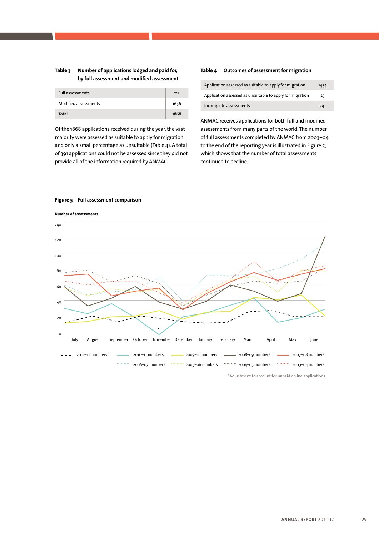### **Table 3 Number of applications lodged and paid for, by full assessment and modified assessment**

| <b>Full assessments</b> | 212  |
|-------------------------|------|
| Modified assessments    | 1656 |
| Total                   | 1868 |

Of the 1868 applications received during the year, the vast majority were assessed as suitable to apply for migration and only a small percentage as unsuitable (Table 4). A total of 391 applications could not be assessed since they did not provide all of the information required by ANMAC.

#### **Table 4 Outcomes of assessment for migration**

| Application assessed as suitable to apply for migration   | 1454 |
|-----------------------------------------------------------|------|
| Application assessed as unsuitable to apply for migration | 23   |
| Incomplete assessments                                    | 391  |

ANMAC receives applications for both full and modified assessments from many parts of the world. The number of full assessments completed by ANMAC from 2003–04 to the end of the reporting year is illustrated in Figure 5, which shows that the number of total assessments continued to decline.

### **Figure 5 Full assessment comparison**

140 **Number of assessments**



\*Adjustment to account for unpaid online applications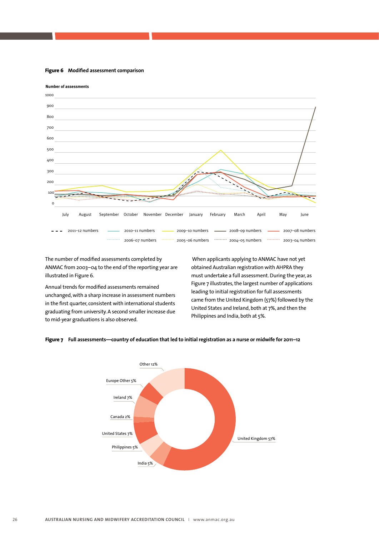**Figure 6 Modified assessment comparison**



The number of modified assessments completed by ANMAC from 2003–04 to the end of the reporting year are illustrated in Figure 6.

Annual trends for modified assessments remained unchanged, with a sharp increase in assessment numbers in the first quarter, consistent with international students graduating from university. A second smaller increase due to mid-year graduations is also observed.

 When applicants applying to ANMAC have not yet obtained Australian registration with AHPRA they must undertake a full assessment. During the year, as Figure 7 illustrates, the largest number of applications leading to initial registration for full assessments came from the United Kingdom (57%) followed by the United States and Ireland, both at 7%, and then the Philippines and India, both at 5%.



#### **Figure 7 Full assessments—country of education that led to initial registration as a nurse or midwife for 2011–12**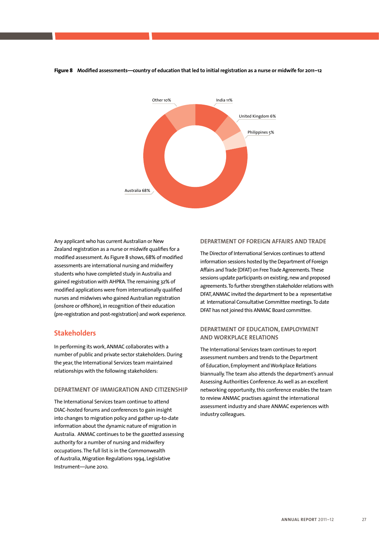**Figure 8 Modified assessments—country of education that led to initial registration as a nurse or midwife for 2011–12**



Any applicant who has current Australian or New Zealand registration as a nurse or midwife qualifies for a modified assessment. As Figure 8 shows, 68% of modified assessments are international nursing and midwifery students who have completed study in Australia and gained registration with AHPRA. The remaining 32% of modified applications were from internationally qualified nurses and midwives who gained Australian registration (onshore or offshore), in recognition of their education (pre-registration and post-registration) and work experience.

## **Stakeholders**

In performing its work, ANMAC collaborates with a number of public and private sector stakeholders. During the year, the International Services team maintained relationships with the following stakeholders:

### **Department of Immigration and Citizenship**

The International Services team continue to attend DIAC-hosted forums and conferences to gain insight into changes to migration policy and gather up-to-date information about the dynamic nature of migration in Australia. ANMAC continues to be the gazetted assessing authority for a number of nursing and midwifery occupations. The full list is in the Commonwealth of Australia, Migration Regulations 1994, Legislative Instrument—June 2010.

### **DEPARTMENT OF FOREIGN AFFAIRS AND TRADE**

The Director of International Services continues to attend information sessions hosted by the Department of Foreign Affairs and Trade (DFAT) on Free Trade Agreements. These sessions update participants on existing, new and proposed agreements. To further strengthen stakeholder relations with DFAT, ANMAC invited the department to be a representative at International Consultative Committee meetings. To date DFAT has not joined this ANMAC Board committee.

### **Department of Education, Employment and Workplace Relations**

The International Services team continues to report assessment numbers and trends to the Department of Education, Employment and Workplace Relations biannually. The team also attends the department's annual Assessing Authorities Conference. As well as an excellent networking opportunity, this conference enables the team to review ANMAC practises against the international assessment industry and share ANMAC experiences with industry colleagues.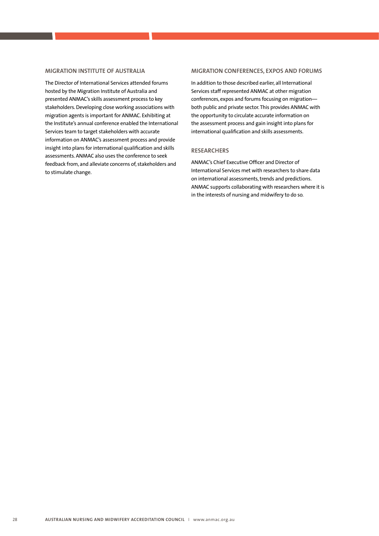### **Migration Institute of Australia**

The Director of International Services attended forums hosted by the Migration Institute of Australia and presented ANMAC's skills assessment process to key stakeholders. Developing close working associations with migration agents is important for ANMAC. Exhibiting at the Institute's annual conference enabled the International Services team to target stakeholders with accurate information on ANMAC's assessment process and provide insight into plans for international qualification and skills assessments. ANMAC also uses the conference to seek feedback from, and alleviate concerns of, stakeholders and to stimulate change.

#### **Migration conferences, expos and forums**

In addition to those described earlier, all International Services staff represented ANMAC at other migration conferences, expos and forums focusing on migration both public and private sector. This provides ANMAC with the opportunity to circulate accurate information on the assessment process and gain insight into plans for international qualification and skills assessments.

### **Researchers**

ANMAC's Chief Executive Officer and Director of International Services met with researchers to share data on international assessments, trends and predictions. ANMAC supports collaborating with researchers where it is in the interests of nursing and midwifery to do so.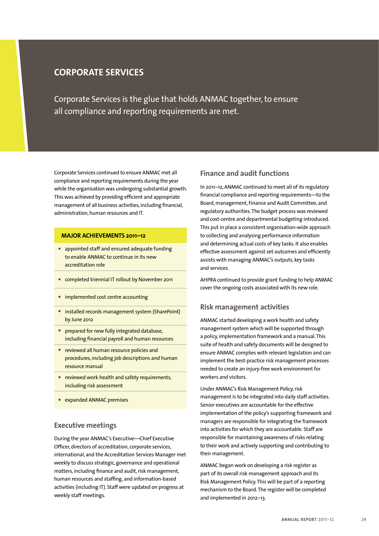# **CORPORATE SERVICES**

Corporate Services is the glue that holds ANMAC together, to ensure all compliance and reporting requirements are met.

Corporate Services continued to ensure ANMAC met all compliance and reporting requirements during the year while the organisation was undergoing substantial growth. This was achieved by providing efficient and appropriate management of all business activities, including financial, administration, human resources and IT.

### **MAJOR ACHIEVEMENTS 2011–12**

- appointed staff and ensured adequate funding to enable ANMAC to continue in its new accreditation role
- completed triennial IT rollout by November 2011
- implemented cost centre accounting
- installed records management system (SharePoint) by June 2012
- prepared for new fully integrated database, including financial payroll and human resources
- reviewed all human resource policies and procedures, including job descriptions and human resource manual
- reviewed work health and safety requirements, including risk assessment
- expanded ANMAC premises

### **Executive meetings**

During the year ANMAC's Executive—Chief Executive Officer, directors of accreditation, corporate services, international, and the Accreditation Services Manager met weekly to discuss strategic, governance and operational matters, including finance and audit, risk management, human resources and staffing, and information-based activities (including IT). Staff were updated on progress at weekly staff meetings.

### **Finance and audit functions**

In 2011–12, ANMAC continued to meet all of its regulatory financial compliance and reporting requirements—to the Board, management, Finance and Audit Committee, and regulatory authorities. The budget process was reviewed and cost-centre and departmental budgeting introduced. This put in place a consistent organisation-wide approach to collecting and analysing performance information and determining actual costs of key tasks. It also enables effective assessment against set outcomes and efficiently assists with managing ANMAC's outputs, key tasks and services.

AHPRA continued to provide grant funding to help ANMAC cover the ongoing costs associated with its new role.

### **Risk management activities**

ANMAC started developing a work health and safety management system which will be supported through a policy, implementation framework and a manual. This suite of health and safety documents will be designed to ensure ANMAC complies with relevant legislation and can implement the best-practice risk management processes needed to create an injury-free work environment for workers and visitors.

Under ANMAC's Risk Management Policy, risk management is to be integrated into daily staff activities. Senior executives are accountable for the effective implementation of the policy's supporting framework and managers are responsible for integrating the framework into activities for which they are accountable. Staff are responsible for maintaining awareness of risks relating to their work and actively supporting and contributing to their management.

ANMAC began work on developing a risk register as part of its overall risk management approach and its Risk Management Policy. This will be part of a reporting mechanism to the Board. The register will be completed and implemented in 2012–13.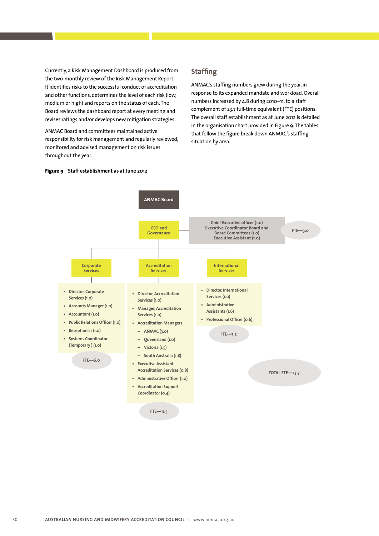Currently, a Risk Management Dashboard is produced from the two-monthly review of the Risk Management Report. It identifies risks to the successful conduct of accreditation and other functions, determines the level of each risk (low, medium or high) and reports on the status of each. The Board reviews the dashboard report at every meeting and revises ratings and/or develops new mitigation strategies.

ANMAC Board and committees maintained active responsibility for risk management and regularly reviewed, monitored and advised management on risk issues throughout the year.

### **Staffing**

ANMAC's staffing numbers grew during the year, in response to its expanded mandate and workload. Overall numbers increased by 4.8 during 2010–11, to a staff complement of 23.7 full-time equivalent (FTE) positions. The overall staff establishment as at June 2012 is detailed in the organisation chart provided in Figure 9. The tables that follow the figure break down ANMAC's staffing situation by area.



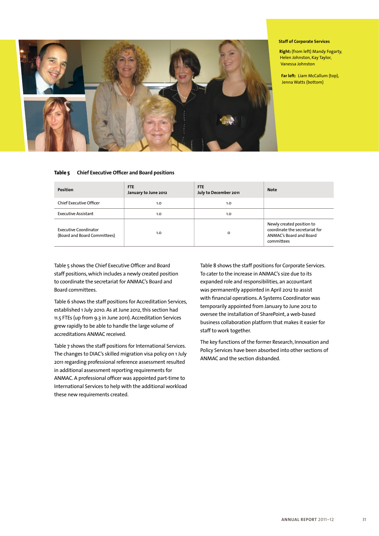

#### **Staff of Corporate Services**

**Right:** (from left) Mandy Fogarty, Helen Johnston, Kay Taylor, Vanessa Johnston

**Far left:** Liam McCallum (top), Jenna Watts (bottom)

### **Table 5 Chief Executive Officer and Board positions**

| <b>Position</b>                                       | <b>FTE</b><br>January to June 2012 | <b>FTE</b><br>July to December 2011 | <b>Note</b>                                                                                          |
|-------------------------------------------------------|------------------------------------|-------------------------------------|------------------------------------------------------------------------------------------------------|
| <b>Chief Executive Officer</b>                        | 1.0                                | 1.0                                 |                                                                                                      |
| <b>Executive Assistant</b>                            | 1.0                                | 1.0                                 |                                                                                                      |
| Executive Coordinator<br>(Board and Board Committees) | 1.0                                | o                                   | Newly created position to<br>coordinate the secretariat for<br>ANMAC's Board and Board<br>committees |

Table 5 shows the Chief Executive Officer and Board staff positions, which includes a newly created position to coordinate the secretariat for ANMAC's Board and Board committees.

Table 6 shows the staff positions for Accreditation Services, established 1 July 2010. As at June 2012, this section had 11.5 FTEs (up from 9.3 in June 2011). Accreditation Services grew rapidly to be able to handle the large volume of accreditations ANMAC received.

Table 7 shows the staff positions for International Services. The changes to DIAC's skilled migration visa policy on 1 July 2011 regarding professional reference assessment resulted in additional assessment reporting requirements for ANMAC. A professional officer was appointed part-time to International Services to help with the additional workload these new requirements created.

Table 8 shows the staff positions for Corporate Services. To cater to the increase in ANMAC's size due to its expanded role and responsibilities, an accountant was permanently appointed in April 2012 to assist with financial operations. A Systems Coordinator was temporarily appointed from January to June 2012 to oversee the installation of SharePoint, a web-based business collaboration platform that makes it easier for staff to work together.

The key functions of the former Research, Innovation and Policy Services have been absorbed into other sections of ANMAC and the section disbanded.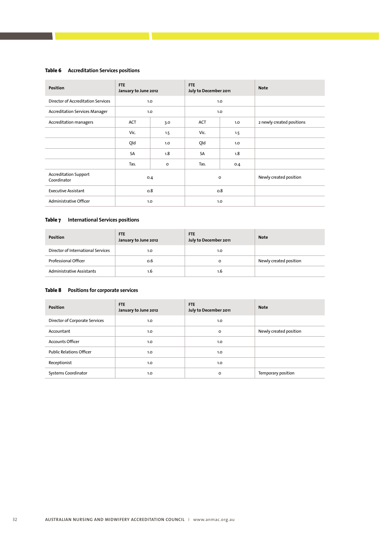### **Table 6 Accreditation Services positions**

| <b>Position</b>                             | <b>FTE</b><br>January to June 2012 |         | <b>FTE</b><br>July to December 2011 |                  | <b>Note</b>               |
|---------------------------------------------|------------------------------------|---------|-------------------------------------|------------------|---------------------------|
| <b>Director of Accreditation Services</b>   |                                    | 1.0     |                                     | 1.0              |                           |
| <b>Accreditation Services Manager</b>       |                                    | 1.0     |                                     | 1.0              |                           |
| Accreditation managers                      | <b>ACT</b>                         | 3.0     | <b>ACT</b>                          | 1.0 <sub>2</sub> | 2 newly created positions |
|                                             | Vic.                               | 1.5     | Vic.                                | 1.5              |                           |
|                                             | Qld                                | 1.0     | Qld                                 | 1.0              |                           |
|                                             | <b>SA</b>                          | 1.8     | SA                                  | 1.8              |                           |
|                                             | Tas.                               | $\circ$ | Tas.                                | 0.4              |                           |
| <b>Accreditation Support</b><br>Coordinator |                                    | 0.4     |                                     | o                | Newly created position    |
| <b>Executive Assistant</b>                  |                                    | 0.8     |                                     | 0.8              |                           |
| Administrative Officer                      |                                    | 1.0     |                                     | 1.0              |                           |

### **Table 7 International Services positions**

| <b>Position</b>                    | <b>FTE</b><br>January to June 2012 | <b>FTE</b><br>July to December 2011 | <b>Note</b>            |
|------------------------------------|------------------------------------|-------------------------------------|------------------------|
| Director of International Services | 1.0                                | 1.0                                 |                        |
| Professional Officer               | 0.6                                | $\circ$                             | Newly created position |
| <b>Administrative Assistants</b>   | 1.6                                | 1.6                                 |                        |

### **Table 8 Positions for corporate services**

| <b>Position</b>                 | <b>FTE</b><br>January to June 2012 | <b>FTE</b><br>July to December 2011 | <b>Note</b>            |
|---------------------------------|------------------------------------|-------------------------------------|------------------------|
| Director of Corporate Services  | 1.0                                | 1.0                                 |                        |
| Accountant                      | 1.0                                | $\circ$                             | Newly created position |
| <b>Accounts Officer</b>         | 1.0                                | 1.0                                 |                        |
| <b>Public Relations Officer</b> | 1.0                                | 1.0                                 |                        |
| Receptionist                    | 1.0                                | 1.0                                 |                        |
| Systems Coordinator             | 1.0                                | $\circ$                             | Temporary position     |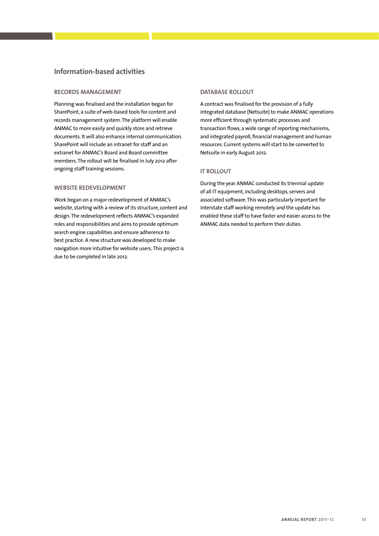### **Information-based activities**

### **RECORDS MANAGEMENT**

Planning was finalised and the installation began for SharePoint, a suite of web-based tools for content and records management system. The platform will enable ANMAC to more easily and quickly store and retrieve documents. It will also enhance internal communication. SharePoint will include an intranet for staff and an extranet for ANMAC's Board and Board committee members. The rollout will be finalised in July 2012 after ongoing staff training sessions.

### **Website redevelopment**

Work began on a major redevelopment of ANMAC's website, starting with a review of its structure, content and design. The redevelopment reflects ANMAC's expanded roles and responsibilities and aims to provide optimum search engine capabilities and ensure adherence to best practice. A new structure was developed to make navigation more intuitive for website users. This project is due to be completed in late 2012.

### **Database rollout**

A contract was finalised for the provision of a fully integrated database (Netsuite) to make ANMAC operations more efficient through systematic processes and transaction flows, a wide range of reporting mechanisms, and integrated payroll, financial management and human resources. Current systems will start to be converted to Netsuite in early August 2012.

### **IT rollout**

During the year ANMAC conducted its triennial update of all IT equipment, including desktops, servers and associated software. This was particularly important for interstate staff working remotely and the update has enabled these staff to have faster and easier access to the ANMAC data needed to perform their duties.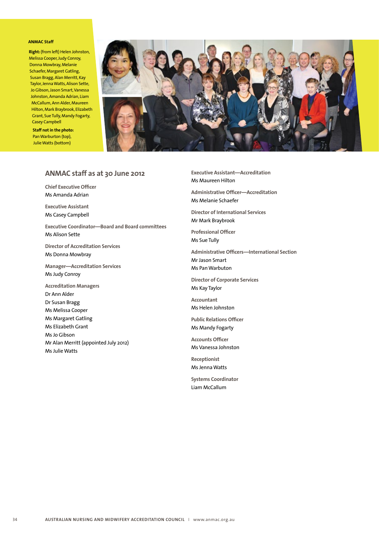#### **ANMAC Staff**

**Right:** (from left) Helen Johnston, Melissa Cooper, Judy Conroy, Donna Mowbray, Melanie Schaefer, Margaret Gatling, Susan Bragg, Alan Merritt, Kay Taylor, Jenna Watts, Alison Sette, Jo Gibson, Jason Smart, Vanessa Johnston, Amanda Adrian, Liam McCallum, Ann Alder, Maureen Hilton, Mark Braybrook, Elizabeth Grant, Sue Tully, Mandy Fogarty, Casey Campbell

**Staff not in the photo:** Pan Warburton (top), Julie Watts (bottom)



### **ANMAC staff as at 30 June 2012**

**Chief Executive Officer** Ms Amanda Adrian

**Executive Assistant** Ms Casey Campbell

**Executive Coordinator—Board and Board committees** Ms Alison Sette

**Director of Accreditation Services** Ms Donna Mowbray

**Manager—Accreditation Services** Ms Judy Conroy

**Accreditation Managers** Dr Ann Alder Dr Susan Bragg Ms Melissa Cooper Ms Margaret Gatling Ms Elizabeth Grant Ms Jo Gibson Mr Alan Merritt (appointed July 2012) Ms Julie Watts

**Executive Assistant—Accreditation** Ms Maureen Hilton

**Administrative Officer—Accreditation** Ms Melanie Schaefer

**Director of International Services** Mr Mark Braybrook

**Professional Officer** Ms Sue Tully

**Administrative Officers—International Section** Mr Jason Smart Ms Pan Warbuton

**Director of Corporate Services** Ms Kay Taylor

**Accountant** Ms Helen Johnston

**Public Relations Officer** Ms Mandy Fogarty

**Accounts Officer** Ms Vanessa Johnston

**Receptionist** Ms Jenna Watts

**Systems Coordinator** Liam McCallum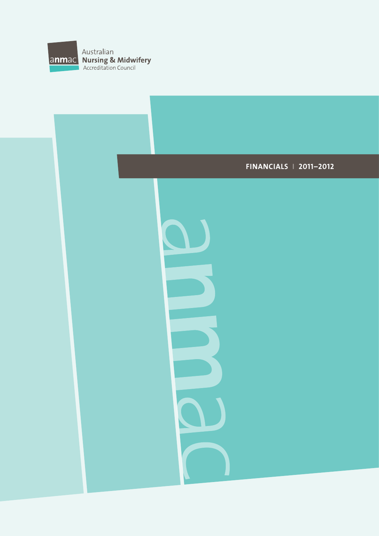

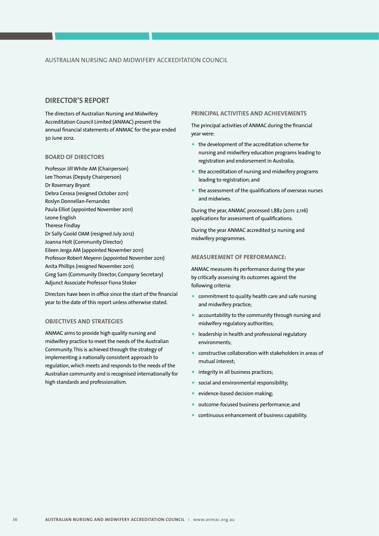### **DIRECTOR'S REPORT**

The directors of Australian Nursing and Midwifery Accreditation Council Limited (ANMAC) present the annual financial statements of ANMAC for the year ended 30 June 2012.

### **Board of Directors**

Professor Jill White AM (Chairperson) Lee Thomas (Deputy Chairperson) Dr Rosemary Bryant Debra Cerasa (resigned October 2011) Roslyn Donnellan-Fernandez Paula Elliot (appointed November 2011) Leone English Therese Findlay Dr Sally Goold OAM (resigned July 2012) Joanna Holt (Community Director) Eileen Jerga AM (appointed November 2011) Professor Robert Meyenn (appointed November 2011) Anita Phillips (resigned November 2011) Greg Sam (Community Director, Company Secretary) Adjunct Associate Professor Fiona Stoker

Directors have been in office since the start of the financial year to the date of this report unless otherwise stated.

### **Objectives and Strategies**

ANMAC aims to provide high quality nursing and midwifery practice to meet the needs of the Australian Community. This is achieved through the strategy of implementing a nationally consistent approach to regulation, which meets and responds to the needs of the Australian community and is recognised internationally for high standards and professionalism.

### **Principal Activities and Achievements**

The principal activities of ANMAC during the financial year were:

- the development of the accreditation scheme for nursing and midwifery education programs leading to registration and endorsement in Australia;
- the accreditation of nursing and midwifery programs leading to registration; and
- the assessment of the qualifications of overseas nurses and midwives.

During the year, ANMAC processed 1,882 (2011: 2,116) applications for assessment of qualifications.

During the year ANMAC accredited 52 nursing and midwifery programmes.

#### **Measurement of Performance:**

ANMAC measures its performance during the year by critically assessing its outcomes against the following criteria:

- commitment to quality health care and safe nursing and midwifery practice;
- accountability to the community through nursing and midwifery regulatory authorities;
- leadership in health and professional regulatory environments;
- constructive collaboration with stakeholders in areas of mutual interest;
- integrity in all business practices;
- social and environmental responsibility;
- evidence-based decision making;
- outcome-focused business performance; and
- continuous enhancement of business capability.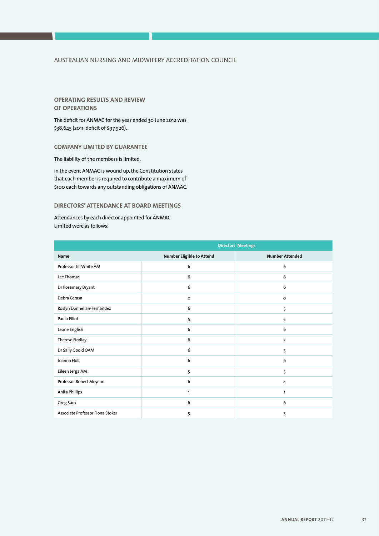### **Operating Results and Review of Operations**

The deficit for ANMAC for the year ended 30 June 2012 was \$38,645 (2011: deficit of \$97,926).

### **COMPANY LIMITED BY GUARANTEE**

The liability of the members is limited.

In the event ANMAC is wound up, the Constitution states that each member is required to contribute a maximum of \$100 each towards any outstanding obligations of ANMAC.

### **DIRECTORS' ATTENDANCE AT BOARD MEETINGS**

Attendances by each director appointed for ANMAC Limited were as follows:

|                                  | <b>Directors' Meetings</b> |                        |  |
|----------------------------------|----------------------------|------------------------|--|
| <b>Name</b>                      | Number Eligible to Attend  | <b>Number Attended</b> |  |
| Professor Jill White AM          | 6                          | 6                      |  |
| Lee Thomas                       | 6                          | 6                      |  |
| Dr Rosemary Bryant               | 6                          | 6                      |  |
| Debra Cerasa                     | $\overline{2}$             | $\circ$                |  |
| Roslyn Donnellan-Fernandez       | 6                          | 5                      |  |
| Paula Elliot                     | 5                          | 5                      |  |
| Leone English                    | 6                          | 6                      |  |
| Therese Findlay                  | 6                          | $\overline{2}$         |  |
| Dr Sally Goold OAM               | 6                          | 5                      |  |
| Joanna Holt                      | 6                          | 6                      |  |
| Eileen Jerga AM                  | 5                          | 5                      |  |
| Professor Robert Meyenn          | 6                          | 4                      |  |
| Anita Phillips                   | $\mathbf{1}$               | $\mathbf{1}$           |  |
| Greg Sam                         | 6                          | 6                      |  |
| Associate Professor Fiona Stoker | 5                          | 5                      |  |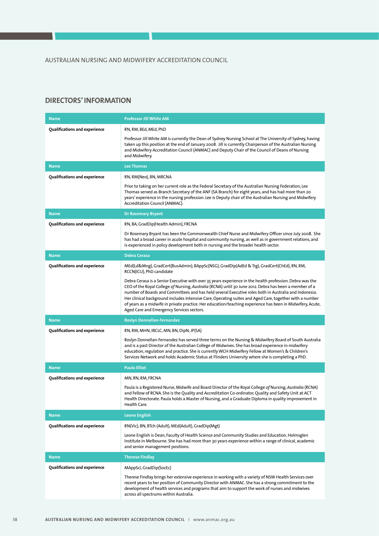### **Directors' Information**

| <b>Name</b>                          | <b>Professor Jill White AM</b>                                                                                                                                                                                                                                                                                                                                                                                                                                                                                                                                                                    |
|--------------------------------------|---------------------------------------------------------------------------------------------------------------------------------------------------------------------------------------------------------------------------------------------------------------------------------------------------------------------------------------------------------------------------------------------------------------------------------------------------------------------------------------------------------------------------------------------------------------------------------------------------|
| Qualifications and experience        | RN, RM, BEd, MEd, PhD<br>Professor Jill White AM is currently the Dean of Sydney Nursing School at The University of Sydney, having<br>taken up this position at the end of January 2008. Jill is currently Chairperson of the Australian Nursing<br>and Midwifery Accreditation Council (ANMAC) and Deputy Chair of the Council of Deans of Nursing<br>and Midwifery.                                                                                                                                                                                                                            |
| <b>Name</b>                          | <b>Lee Thomas</b>                                                                                                                                                                                                                                                                                                                                                                                                                                                                                                                                                                                 |
| Qualifications and experience        | RN, RM(Neo), BN, MRCNA<br>Prior to taking on her current role as the Federal Secretary of the Australian Nursing Federation, Lee<br>Thomas served as Branch Secretary of the ANF (SA Branch) for eight years, and has had more than 20<br>years' experience in the nursing profession. Lee is Deputy chair of the Australian Nursing and Midwifery<br>Accreditation Council (ANMAC).                                                                                                                                                                                                              |
| <b>Name</b>                          | <b>Dr Rosemary Bryant</b>                                                                                                                                                                                                                                                                                                                                                                                                                                                                                                                                                                         |
| Qualifications and experience        | RN, BA, GradDip(Health Admin), FRCNA                                                                                                                                                                                                                                                                                                                                                                                                                                                                                                                                                              |
|                                      | Dr Rosemary Bryant has been the Commonwealth Chief Nurse and Midwifery Officer since July 2008. She<br>has had a broad career in acute hospital and community nursing, as well as in government relations, and<br>is experienced in policy development both in nursing and the broader health sector.                                                                                                                                                                                                                                                                                             |
| <b>Name</b>                          | Debra Cerasa                                                                                                                                                                                                                                                                                                                                                                                                                                                                                                                                                                                      |
| Qualifications and experience        | MEd(Ld&Mng), GradCert(BusAdmin), BAppSc(NSG), GradDip(AdEd & Trg), GradCert(ChEd), RN, RM,<br>RCCN(ICU), PhD candidate                                                                                                                                                                                                                                                                                                                                                                                                                                                                            |
|                                      | Debra Cerasa is a Senior Executive with over 35 years experience in the health profession. Debra was the<br>CEO of the Royal College of Nursing, Australia (RCNA) until 30 June 2012. Debra has been a member of a<br>number of Boards and Committees and has held several Executive roles both in Australia and Indonesia.<br>Her clinical background includes Intensive Care, Operating suites and Aged Care, together with a number<br>of years as a midwife in private practice. Her education/teaching experience has been in Midwifery, Acute,<br>Aged Care and Emergency Services sectors. |
| <b>Name</b>                          | <b>Roslyn Donnellan-Fernandez</b>                                                                                                                                                                                                                                                                                                                                                                                                                                                                                                                                                                 |
| Qualifications and experience        | RN, RM, MHN, IBCLC, MN, BN, DipN, JP(SA)                                                                                                                                                                                                                                                                                                                                                                                                                                                                                                                                                          |
|                                      | Roslyn Donnellan-Fernandez has served three terms on the Nursing & Midwifery Board of South Australia<br>and is a past Director of the Australian College of Midwives. She has broad experience in midwifery<br>education, regulation and practice. She is currently WCH Midwifery Fellow at Women's & Children's<br>Services Network and holds Academic Status at Flinders University where she is completing a PhD.                                                                                                                                                                             |
| <b>Name</b>                          | <b>Paula Elliot</b>                                                                                                                                                                                                                                                                                                                                                                                                                                                                                                                                                                               |
| Qualifications and experience        | MN, RN, RM, FRCNA                                                                                                                                                                                                                                                                                                                                                                                                                                                                                                                                                                                 |
|                                      | Paula is a Registered Nurse, Midwife and Board Director of the Royal College of Nursing, Australia (RCNA)<br>and Fellow of RCNA. She is the Quality and Accreditation Co-ordinator, Quality and Safety Unit at ACT<br>Health Directorate. Paula holds a Master of Nursing, and a Graduate Diploma in quality improvement in<br>Health Care.                                                                                                                                                                                                                                                       |
| <b>Name</b>                          | <b>Leone English</b>                                                                                                                                                                                                                                                                                                                                                                                                                                                                                                                                                                              |
| <b>Qualifications and experience</b> | RN(Vic), BN, BTch (Adult), MEd(Adult), GradDip(Mgt)                                                                                                                                                                                                                                                                                                                                                                                                                                                                                                                                               |
|                                      | Leone English is Dean, Faculty of Health Science and Community Studies and Education, Holmsglen<br>Institute in Melbourne. She has had more than 30 years experience within a range of clinical, academic<br>and senior management positions.                                                                                                                                                                                                                                                                                                                                                     |
| <b>Name</b>                          | <b>Therese Findlay</b>                                                                                                                                                                                                                                                                                                                                                                                                                                                                                                                                                                            |
| <b>Qualifications and experience</b> | MAppSci, GradDip(SocEc)                                                                                                                                                                                                                                                                                                                                                                                                                                                                                                                                                                           |
|                                      | Therese Findlay brings her extensive experience in working with a variety of NSW Health Services over<br>recent years to her position of Community Director with ANMAC. She has a strong commitment to the<br>development of health services and programs that aim to support the work of nurses and midwives<br>across all spectrums within Australia.                                                                                                                                                                                                                                           |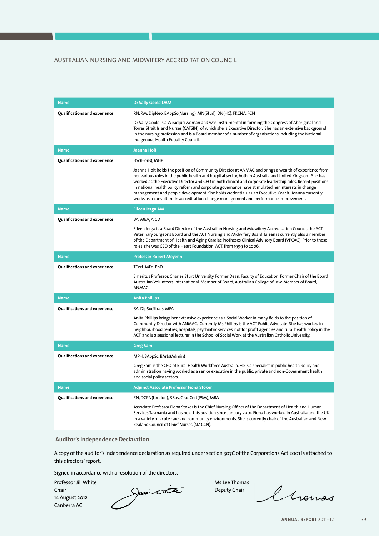| <b>Name</b>                   | <b>Dr Sally Goold OAM</b>                                                                                                                                                                                                                                                                                                                                                                                                                                                                                                                                                                                                          |
|-------------------------------|------------------------------------------------------------------------------------------------------------------------------------------------------------------------------------------------------------------------------------------------------------------------------------------------------------------------------------------------------------------------------------------------------------------------------------------------------------------------------------------------------------------------------------------------------------------------------------------------------------------------------------|
| Qualifications and experience | RN, RM, DipNeo, BAppSc(Nursing), MN(Stud), DN(HC), FRCNA, FCN                                                                                                                                                                                                                                                                                                                                                                                                                                                                                                                                                                      |
|                               | Dr Sally Goold is a Wiradjuri woman and was instrumental in forming the Congress of Aboriginal and<br>Torres Strait Island Nurses (CATSIN), of which she is Executive Director. She has an extensive background<br>in the nursing profession and is a Board member of a number of organisations including the National<br>Indigenous Health Equality Council.                                                                                                                                                                                                                                                                      |
| <b>Name</b>                   | <b>Joanna Holt</b>                                                                                                                                                                                                                                                                                                                                                                                                                                                                                                                                                                                                                 |
| Qualifications and experience | BSc(Hons), MHP                                                                                                                                                                                                                                                                                                                                                                                                                                                                                                                                                                                                                     |
|                               | Joanna Holt holds the position of Community Director at ANMAC and brings a wealth of experience from<br>her various roles in the public health and hospital sector, both in Australia and United Kingdom. She has<br>worked as the Executive Director and CEO in both clinical and corporate leadership roles. Recent positions<br>in national health policy reform and corporate governance have stimulated her interests in change<br>management and people development. She holds credentials as an Executive Coach. Joanna currently<br>works as a consultant in accreditation, change management and performance improvement. |
| <b>Name</b>                   | <b>Eileen Jerga AM</b>                                                                                                                                                                                                                                                                                                                                                                                                                                                                                                                                                                                                             |
| Qualifications and experience | BA, MBA, AICD                                                                                                                                                                                                                                                                                                                                                                                                                                                                                                                                                                                                                      |
|                               | Eileen Jerga is a Board Director of the Australian Nursing and Midwifery Accreditation Council, the ACT<br>Veterinary Surgeons Board and the ACT Nursing and Midwifery Board. Eileen is currently also a member<br>of the Department of Health and Aging Cardiac Protheses Clinical Advisory Board (VPCAG). Prior to these<br>roles, she was CEO of the Heart Foundation, ACT, from 1999 to 2006.                                                                                                                                                                                                                                  |
| <b>Name</b>                   | <b>Professor Robert Meyenn</b>                                                                                                                                                                                                                                                                                                                                                                                                                                                                                                                                                                                                     |
| Qualifications and experience | TCert, MEd, PhD                                                                                                                                                                                                                                                                                                                                                                                                                                                                                                                                                                                                                    |
|                               | Emeritus Professor, Charles Sturt University. Former Dean, Faculty of Education. Former Chair of the Board<br>Australian Volunteers International. Member of Board, Australian College of Law. Member of Board,<br>ANMAC.                                                                                                                                                                                                                                                                                                                                                                                                          |
| <b>Name</b>                   | <b>Anita Phillips</b>                                                                                                                                                                                                                                                                                                                                                                                                                                                                                                                                                                                                              |
| Qualifications and experience | BA, DipSocStuds, MPA                                                                                                                                                                                                                                                                                                                                                                                                                                                                                                                                                                                                               |
|                               | Anita Phillips brings her extensive experience as a Social Worker in many fields to the position of<br>Community Director with ANMAC. Currently Ms Phillips is the ACT Public Advocate. She has worked in<br>neighbourhood centres, hospitals, psychiatric services, not for profit agencies and rural health policy in the<br>ACT, and is a sessional lecturer in the School of Social Work at the Australian Catholic University.                                                                                                                                                                                                |
| <b>Name</b>                   | <b>Greg Sam</b>                                                                                                                                                                                                                                                                                                                                                                                                                                                                                                                                                                                                                    |
| Qualifications and experience | MPH, BAppSc, BArts(Admin)                                                                                                                                                                                                                                                                                                                                                                                                                                                                                                                                                                                                          |
|                               | Greg Sam is the CEO of Rural Health Workforce Australia. He is a specialist in public health policy and<br>administration having worked as a senior executive in the public, private and non-Government health<br>and social policy sectors.                                                                                                                                                                                                                                                                                                                                                                                       |
| <b>Name</b>                   | <b>Adjunct Associate Professor Fiona Stoker</b>                                                                                                                                                                                                                                                                                                                                                                                                                                                                                                                                                                                    |
| Qualifications and experience | RN, DCPN(London), BBus, GradCert(PSM), MBA                                                                                                                                                                                                                                                                                                                                                                                                                                                                                                                                                                                         |
|                               | Associate Professor Fiona Stoker is the Chief Nursing Officer of the Department of Health and Human<br>Services Tasmania and has held this position since January 2001. Fiona has worked in Australia and the UK<br>in a variety of acute care and community environments. She is currently chair of the Australian and New<br>Zealand Council of Chief Nurses (NZ CCN).                                                                                                                                                                                                                                                           |

### **Auditor's Independence Declaration**

A copy of the auditor's independence declaration as required under section 307C of the Corporations Act 2001 is attached to this directors' report.

Signed in accordance with a resolution of the directors.

Professor Jill White Ms Lee Thomas (Ms Lee Thomas ) which we have a state of the Ms Lee Thomas 14 August 2012 Canberra AC

Chair Chair Chair Chair Chair Deputy Chair

Chomas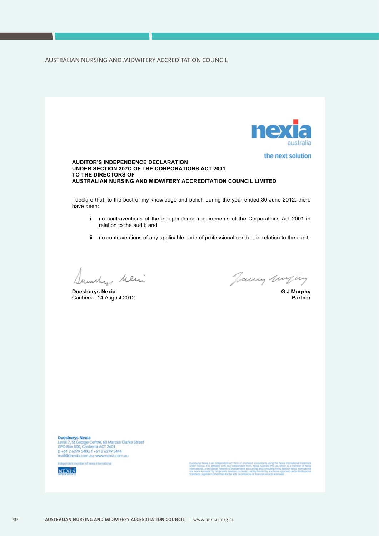

Duesburys Nexia<br>Level 7, St George Centre, 60 Marcus Clarke Street<br>GPO Box 500, Canberra ACT 2601<br>p +61 2 6279 5400, f +61 2 6279 5444 mail@dnexia.com.au, www.nexia.com.au



but independent from, Nexia Australia Pty Ltd, which<br>of independent boom, Nexia Australia Pty Ltd, which<br>construct a context landed by a brightness Ne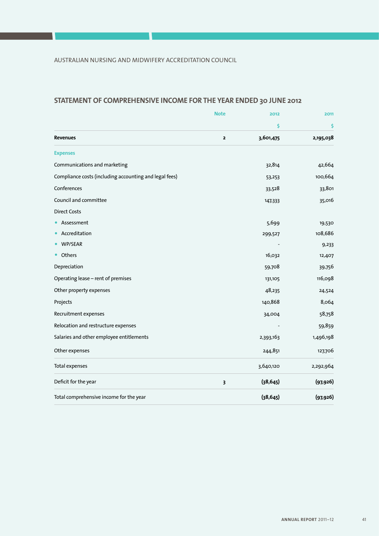### **STATEMENT OF COMPREHENSIVE INCOME FOR THE YEAR ENDED 30 JUNE 2012**

|                                                        | <b>Note</b>  | 2012      | 2011      |
|--------------------------------------------------------|--------------|-----------|-----------|
|                                                        |              | \$        | \$        |
| <b>Revenues</b>                                        | $\mathbf{z}$ | 3,601,475 | 2,195,038 |
| <b>Expenses</b>                                        |              |           |           |
| Communications and marketing                           |              | 32,814    | 42,664    |
| Compliance costs (including accounting and legal fees) |              | 53,253    | 100,664   |
| Conferences                                            |              | 33,528    | 33,801    |
| Council and committee                                  |              | 147,333   | 35,016    |
| <b>Direct Costs</b>                                    |              |           |           |
| Assessment                                             |              | 5,699     | 19,530    |
| Accreditation                                          |              | 299,527   | 108,686   |
| WP/SEAR                                                |              |           | 9,233     |
| Others                                                 |              | 16,032    | 12,407    |
| Depreciation                                           |              | 59,708    | 39,756    |
| Operating lease - rent of premises                     |              | 131,105   | 116,098   |
| Other property expenses                                |              | 48,235    | 24,524    |
| Projects                                               |              | 140,868   | 8,064     |
| Recruitment expenses                                   |              | 34,004    | 58,758    |
| Relocation and restructure expenses                    |              |           | 59,859    |
| Salaries and other employee entitlements               |              | 2,393,163 | 1,496,198 |
| Other expenses                                         |              | 244,851   | 127,706   |
| <b>Total expenses</b>                                  |              | 3,640,120 | 2,292,964 |
| Deficit for the year                                   | 3            | (38, 645) | (97, 926) |
| Total comprehensive income for the year                |              | (38, 645) | (97, 926) |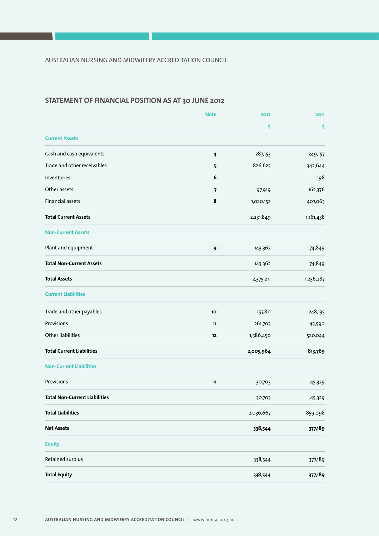### **STATEMENT OF FINANCIAL POSITION AS AT 30 JUNE 2012**

|                                  | <b>Note</b>             | 2012      | 2011      |
|----------------------------------|-------------------------|-----------|-----------|
|                                  |                         | \$        | \$        |
| <b>Current Assets</b>            |                         |           |           |
| Cash and cash equivalents        | $\overline{\mathbf{4}}$ | 287,153   | 249,157   |
| Trade and other receivables      | 5                       | 826,625   | 342,644   |
| Inventories                      | 6                       |           | 198       |
| Other assets                     | $\overline{7}$          | 97,919    | 162,376   |
| <b>Financial assets</b>          | 8                       | 1,020,152 | 407,063   |
| <b>Total Current Assets</b>      |                         | 2,231,849 | 1,161,438 |
| <b>Non-Current Assets</b>        |                         |           |           |
| Plant and equipment              | 9                       | 143,362   | 74,849    |
| <b>Total Non-Current Assets</b>  |                         | 143,362   | 74,849    |
| <b>Total Assets</b>              |                         | 2,375,211 | 1,236,287 |
| <b>Current Liabilities</b>       |                         |           |           |
| Trade and other payables         | 10                      | 157,811   | 248,135   |
| Provisions                       | 11                      | 261,703   | 45,590    |
| <b>Other liabilities</b>         | 12                      | 1,586,450 | 520,044   |
| <b>Total Current Liabilities</b> |                         | 2,005,964 | 813,769   |
| <b>Non-Current Liabilities</b>   |                         |           |           |
| Provisions                       | 11                      | 30,703    | 45,329    |
| Total Non-Current Liabilities    |                         | 30,703    | 45,329    |
| <b>Total Liabilities</b>         |                         | 2,036,667 | 859,098   |
| <b>Net Assets</b>                |                         | 338,544   | 377,189   |
| <b>Equity</b>                    |                         |           |           |
| Retained surplus                 |                         | 338,544   | 377,189   |
| <b>Total Equity</b>              |                         | 338,544   | 377,189   |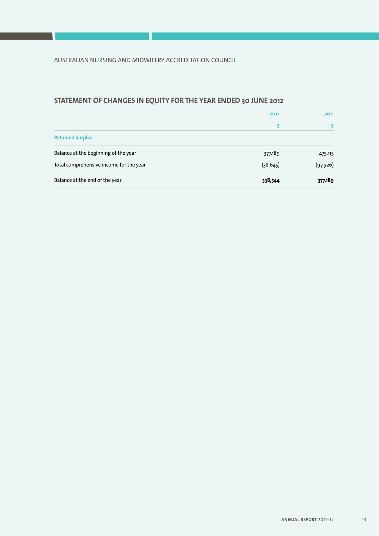# **STATEMENT OF CHANGES IN EQUITY FOR THE YEAR ENDED 30 JUNE 2012**

|                                         | 2012      | 2011      |
|-----------------------------------------|-----------|-----------|
|                                         |           |           |
| <b>Retained Surplus</b>                 |           |           |
| Balance at the beginning of the year    | 377,189   | 475,115   |
| Total comprehensive income for the year | (38, 645) | (97, 926) |
| Balance at the end of the year          | 338,544   | 377,189   |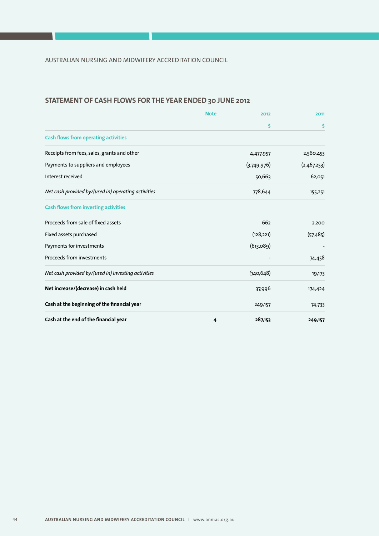### **STATEMENT OF CASH FLOWS FOR THE YEAR ENDED 30 JUNE 2012**

|                                                     | <b>Note</b> | 2012        | 2011        |
|-----------------------------------------------------|-------------|-------------|-------------|
|                                                     |             | \$          | \$          |
| <b>Cash flows from operating activities</b>         |             |             |             |
| Receipts from fees, sales, grants and other         |             | 4,477,957   | 2,560,453   |
| Payments to suppliers and employees                 |             | (3,749,976) | (2,467,253) |
| Interest received                                   |             | 50,663      | 62,051      |
| Net cash provided by/(used in) operating activities |             | 778,644     | 155,251     |
| <b>Cash flows from investing activities</b>         |             |             |             |
| Proceeds from sale of fixed assets                  |             | 662         | 2,200       |
| Fixed assets purchased                              |             | (128, 221)  | (57, 485)   |
| Payments for investments                            |             | (613, 089)  |             |
| Proceeds from investments                           |             |             | 74,458      |
| Net cash provided by/(used in) investing activities |             | (740, 648)  | 19,173      |
| Net increase/(decrease) in cash held                |             | 37,996      | 174,424     |
| Cash at the beginning of the financial year         |             | 249,157     | 74,733      |
| Cash at the end of the financial year               | 4           | 287,153     | 249,157     |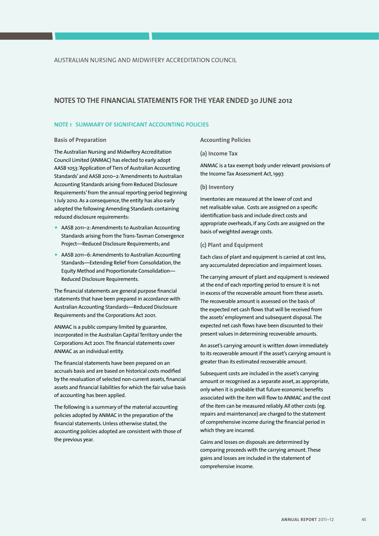### **NOTES TO THE FINANCIAL STATEMENTS FOR THE YEAR ENDED 30 JUNE 2012**

### **NOTE 1 SUMMARY OF SIGNIFICANT ACCOUNTING POLICIES**

#### **Basis of Preparation**

The Australian Nursing and Midwifery Accreditation Council Limited (ANMAC) has elected to early adopt AASB 1053: 'Application of Tiers of Australian Accounting Standards' and AASB 2010–2: 'Amendments to Australian Accounting Standards arising from Reduced Disclosure Requirements' from the annual reporting period beginning 1 July 2010. As a consequence, the entity has also early adopted the following Amending Standards containing reduced disclosure requirements:

- AASB 2011–2: Amendments to Australian Accounting Standards arising from the Trans-Tasman Convergence Project—Reduced Disclosure Requirements; and
- AASB 2011–6: Amendments to Australian Accounting Standards—Extending Relief from Consolidation, the Equity Method and Proportionate Consolidation— Reduced Disclosure Requirements.

The financial statements are general purpose financial statements that have been prepared in accordance with Australian Accounting Standards—Reduced Disclosure Requirements and the Corporations Act 2001.

ANMAC is a public company limited by guarantee, incorporated in the Australian Capital Territory under the Corporations Act 2001. The financial statements cover ANMAC as an individual entity.

The financial statements have been prepared on an accruals basis and are based on historical costs modified by the revaluation of selected non-current assets, financial assets and financial liabilities for which the fair value basis of accounting has been applied.

The following is a summary of the material accounting policies adopted by ANMAC in the preparation of the financial statements. Unless otherwise stated, the accounting policies adopted are consistent with those of the previous year.

### **Accounting Policies**

#### **(a) Income Tax**

ANMAC is a tax exempt body under relevant provisions of the Income Tax Assessment Act, 1997.

#### **(b) Inventory**

Inventories are measured at the lower of cost and net realisable value. Costs are assigned on a specific identification basis and include direct costs and appropriate overheads, if any. Costs are assigned on the basis of weighted average costs.

### **(c) Plant and Equipment**

Each class of plant and equipment is carried at cost less, any accumulated depreciation and impairment losses.

The carrying amount of plant and equipment is reviewed at the end of each reporting period to ensure it is not in excess of the recoverable amount from these assets. The recoverable amount is assessed on the basis of the expected net cash flows that will be received from the assets' employment and subsequent disposal. The expected net cash flows have been discounted to their present values in determining recoverable amounts.

An asset's carrying amount is written down immediately to its recoverable amount if the asset's carrying amount is greater than its estimated recoverable amount.

Subsequent costs are included in the asset's carrying amount or recognised as a separate asset, as appropriate, only when it is probable that future economic benefits associated with the item will flow to ANMAC and the cost of the item can be measured reliably. All other costs (eg. repairs and maintenance) are charged to the statement of comprehensive income during the financial period in which they are incurred.

Gains and losses on disposals are determined by comparing proceeds with the carrying amount. These gains and losses are included in the statement of comprehensive income.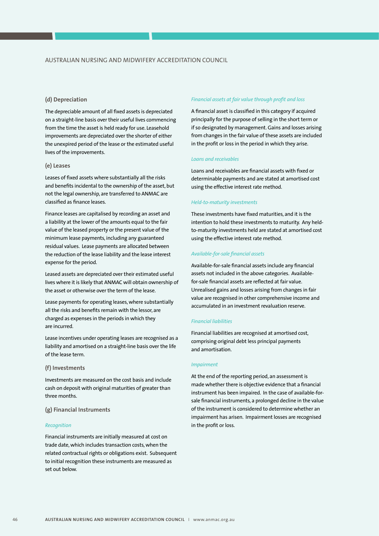### **(d) Depreciation**

The depreciable amount of all fixed assets is depreciated on a straight-line basis over their useful lives commencing from the time the asset is held ready for use. Leasehold improvements are depreciated over the shorter of either the unexpired period of the lease or the estimated useful lives of the improvements.

### **(e) Leases**

Leases of fixed assets where substantially all the risks and benefits incidental to the ownership of the asset, but not the legal ownership, are transferred to ANMAC are classified as finance leases.

Finance leases are capitalised by recording an asset and a liability at the lower of the amounts equal to the fair value of the leased property or the present value of the minimum lease payments, including any guaranteed residual values. Lease payments are allocated between the reduction of the lease liability and the lease interest expense for the period.

Leased assets are depreciated over their estimated useful lives where it is likely that ANMAC will obtain ownership of the asset or otherwise over the term of the lease.

Lease payments for operating leases, where substantially all the risks and benefits remain with the lessor, are charged as expenses in the periods in which they are incurred.

Lease incentives under operating leases are recognised as a liability and amortised on a straight-line basis over the life of the lease term.

### **(f) Investments**

Investments are measured on the cost basis and include cash on deposit with original maturities of greater than three months.

### **(g) Financial Instruments**

#### *Recognition*

Financial instruments are initially measured at cost on trade date, which includes transaction costs, when the related contractual rights or obligations exist. Subsequent to initial recognition these instruments are measured as set out below.

#### *Financial assets at fair value through profit and loss*

A financial asset is classified in this category if acquired principally for the purpose of selling in the short term or if so designated by management. Gains and losses arising from changes in the fair value of these assets are included in the profit or loss in the period in which they arise.

#### *Loans and receivables*

Loans and receivables are financial assets with fixed or determinable payments and are stated at amortised cost using the effective interest rate method.

#### *Held-to-maturity investments*

These investments have fixed maturities, and it is the intention to hold these investments to maturity. Any heldto-maturity investments held are stated at amortised cost using the effective interest rate method.

### *Available-for-sale financial assets*

Available-for-sale financial assets include any financial assets not included in the above categories. Availablefor-sale financial assets are reflected at fair value. Unrealised gains and losses arising from changes in fair value are recognised in other comprehensive income and accumulated in an investment revaluation reserve.

#### *Financial liabilities*

Financial liabilities are recognised at amortised cost, comprising original debt less principal payments and amortisation.

#### *Impairment*

At the end of the reporting period, an assessment is made whether there is objective evidence that a financial instrument has been impaired. In the case of available-forsale financial instruments, a prolonged decline in the value of the instrument is considered to determine whether an impairment has arisen. Impairment losses are recognised in the profit or loss.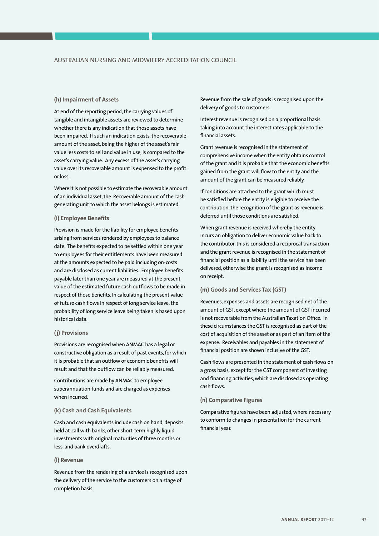### **(h) Impairment of Assets**

At end of the reporting period, the carrying values of tangible and intangible assets are reviewed to determine whether there is any indication that those assets have been impaired. If such an indication exists, the recoverable amount of the asset, being the higher of the asset's fair value less costs to sell and value in use, is compared to the asset's carrying value. Any excess of the asset's carrying value over its recoverable amount is expensed to the profit or loss.

Where it is not possible to estimate the recoverable amount of an individual asset, the Recoverable amount of the cash generating unit to which the asset belongs is estimated.

#### **(i) Employee Benefits**

Provision is made for the liability for employee benefits arising from services rendered by employees to balance date. The benefits expected to be settled within one year to employees for their entitlements have been measured at the amounts expected to be paid including on-costs and are disclosed as current liabilities. Employee benefits payable later than one year are measured at the present value of the estimated future cash outflows to be made in respect of those benefits. In calculating the present value of future cash flows in respect of long service leave, the probability of long service leave being taken is based upon historical data.

#### **( j) Provisions**

Provisions are recognised when ANMAC has a legal or constructive obligation as a result of past events, for which it is probable that an outflow of economic benefits will result and that the outflow can be reliably measured.

Contributions are made by ANMAC to employee superannuation funds and are charged as expenses when incurred.

#### **(k) Cash and Cash Equivalents**

Cash and cash equivalents include cash on hand, deposits held at-call with banks, other short-term highly liquid investments with original maturities of three months or less, and bank overdrafts.

#### **(l) Revenue**

Revenue from the rendering of a service is recognised upon the delivery of the service to the customers on a stage of completion basis.

Revenue from the sale of goods is recognised upon the delivery of goods to customers.

Interest revenue is recognised on a proportional basis taking into account the interest rates applicable to the financial assets.

Grant revenue is recognised in the statement of comprehensive income when the entity obtains control of the grant and it is probable that the economic benefits gained from the grant will flow to the entity and the amount of the grant can be measured reliably.

If conditions are attached to the grant which must be satisfied before the entity is eligible to receive the contribution, the recognition of the grant as revenue is deferred until those conditions are satisfied.

When grant revenue is received whereby the entity incurs an obligation to deliver economic value back to the contributor, this is considered a reciprocal transaction and the grant revenue is recognised in the statement of financial position as a liability until the service has been delivered, otherwise the grant is recognised as income on receipt.

### **(m) Goods and Services Tax (GST)**

Revenues, expenses and assets are recognised net of the amount of GST, except where the amount of GST incurred is not recoverable from the Australian Taxation Office. In these circumstances the GST is recognised as part of the cost of acquisition of the asset or as part of an item of the expense. Receivables and payables in the statement of financial position are shown inclusive of the GST.

Cash flows are presented in the statement of cash flows on a gross basis, except for the GST component of investing and financing activities, which are disclosed as operating cash flows.

#### **(n) Comparative Figures**

Comparative figures have been adjusted, where necessary to conform to changes in presentation for the current financial year.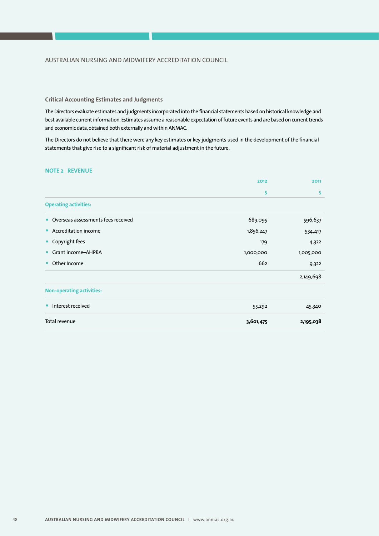### **Critical Accounting Estimates and Judgments**

The Directors evaluate estimates and judgments incorporated into the financial statements based on historical knowledge and best available current information. Estimates assume a reasonable expectation of future events and are based on current trends and economic data, obtained both externally and within ANMAC.

The Directors do not believe that there were any key estimates or key judgments used in the development of the financial statements that give rise to a significant risk of material adjustment in the future.

### **NOTE 2 REVENUE**

|                                                 | 2012      | 2011      |
|-------------------------------------------------|-----------|-----------|
|                                                 | \$        | \$        |
| <b>Operating activities:</b>                    |           |           |
| Overseas assessments fees received<br>$\bullet$ | 689,095   | 596,637   |
| Accreditation income<br>$\bullet$               | 1,856,247 | 534,417   |
| Copyright fees<br>$\bullet$                     | 179       | 4,322     |
| Grant income-AHPRA<br>$\bullet$                 | 1,000,000 | 1,005,000 |
| Other Income<br>$\bullet$                       | 662       | 9,322     |
|                                                 |           | 2,149,698 |
| <b>Non-operating activities:</b>                |           |           |
| Interest received<br>$\bullet$                  | 55,292    | 45,340    |
| Total revenue                                   | 3,601,475 | 2,195,038 |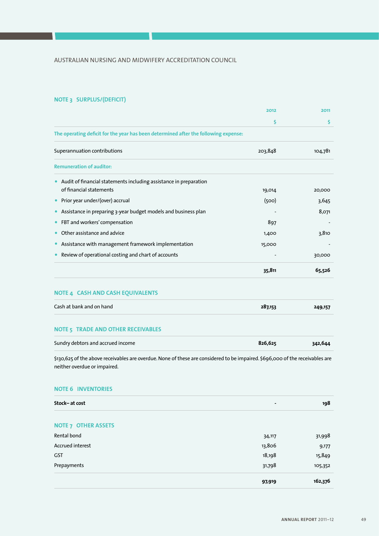# **NOTE 3 SURPLUS/(DEFICIT)**

|                                                                                                                                                               | 2012    | 2011    |
|---------------------------------------------------------------------------------------------------------------------------------------------------------------|---------|---------|
|                                                                                                                                                               | \$      | \$      |
| The operating deficit for the year has been determined after the following expense:                                                                           |         |         |
| Superannuation contributions                                                                                                                                  | 203,848 | 104,781 |
| <b>Remuneration of auditor:</b>                                                                                                                               |         |         |
| Audit of financial statements including assistance in preparation                                                                                             |         |         |
| of financial statements                                                                                                                                       | 19,014  | 20,000  |
| Prior year under/(over) accrual<br>$\bullet$                                                                                                                  | (500)   | 3,645   |
| Assistance in preparing 3-year budget models and business plan<br>$\bullet$                                                                                   |         | 8,071   |
| FBT and workers' compensation                                                                                                                                 | 897     |         |
| Other assistance and advice<br>$\bullet$                                                                                                                      | 1,400   | 3,810   |
| Assistance with management framework implementation                                                                                                           | 15,000  |         |
| Review of operational costing and chart of accounts                                                                                                           |         | 30,000  |
|                                                                                                                                                               | 35,811  | 65,526  |
| NOTE 4 CASH AND CASH EQUIVALENTS                                                                                                                              |         |         |
| Cash at bank and on hand                                                                                                                                      | 287,153 | 249,157 |
| <b>NOTE 5 TRADE AND OTHER RECEIVABLES</b>                                                                                                                     |         |         |
| Sundry debtors and accrued income                                                                                                                             | 826,625 | 342,644 |
| \$130,625 of the above receivables are overdue. None of these are considered to be impaired. \$696,000 of the receivables are<br>neither overdue or impaired. |         |         |

### **NOTE 6 INVENTORIES**

| Stock-at cost              | -      | 198     |
|----------------------------|--------|---------|
| <b>NOTE 7 OTHER ASSETS</b> |        |         |
| Rental bond                | 34,117 | 31,998  |
| Accrued interest           | 13,806 | 9,177   |
| GST                        | 18,198 | 15,849  |
| Prepayments                | 31,798 | 105,352 |
|                            | 97,919 | 162,376 |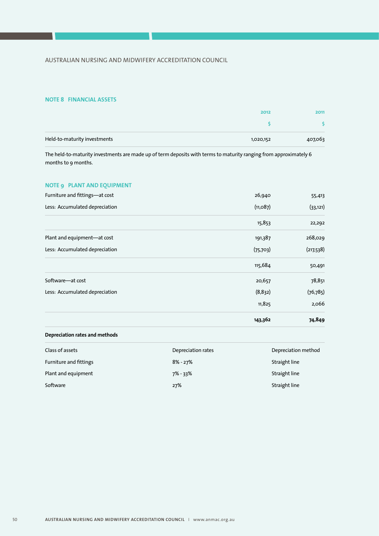### **NOTE 8 FINANCIAL ASSETS**

|                              | 2012      |         |
|------------------------------|-----------|---------|
|                              |           |         |
| Held-to-maturity investments | 1,020,152 | 407,063 |

The held-to-maturity investments are made up of term deposits with terms to maturity ranging from approximately 6 months to 9 months.

### **NOTE 9 PLANT AND EQUIPMENT**

| Furniture and fittings-at cost | 26,940    | 55,413    |
|--------------------------------|-----------|-----------|
| Less: Accumulated depreciation | (11,087)  | (33, 121) |
|                                | 15,853    | 22,292    |
| Plant and equipment-at cost    | 191,387   | 268,029   |
| Less: Accumulated depreciation | (75, 703) | (217,538) |
|                                | 115,684   | 50,491    |
| Software-at cost               | 20,657    | 78,851    |
| Less: Accumulated depreciation | (8,832)   | (76, 785) |
|                                | 11,825    | 2,066     |
|                                | 143,362   | 74,849    |

### **Depreciation rates and methods**

| Class of assets               | Depreciation rates | Depreciation method |
|-------------------------------|--------------------|---------------------|
| <b>Furniture and fittings</b> | $8\%$ - 27%        | Straight line       |
| Plant and equipment           | 7% - 33%           | Straight line       |
| Software                      | 27%                | Straight line       |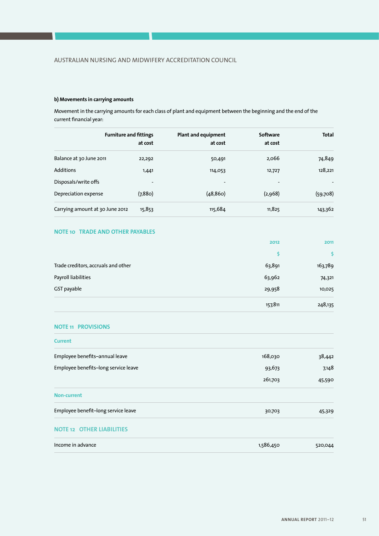### **b) Movements in carrying amounts**

Movement in the carrying amounts for each class of plant and equipment between the beginning and the end of the current financial year:

|                                 | <b>Furniture and fittings</b> | <b>Plant and equipment</b> | Software | <b>Total</b> |
|---------------------------------|-------------------------------|----------------------------|----------|--------------|
|                                 |                               |                            |          |              |
|                                 | at cost                       | at cost                    | at cost  |              |
| Balance at 30 June 2011         | 22,292                        | 50,491                     | 2,066    | 74,849       |
| Additions                       | 1,441                         | 114,053                    | 12,727   | 128,221      |
| Disposals/write offs            |                               | $\overline{\phantom{a}}$   |          |              |
| Depreciation expense            | (7,880)                       | (48, 860)                  | (2,968)  | (59,708)     |
| Carrying amount at 30 June 2012 | 15,853                        | 115,684                    | 11,825   | 143,362      |

### **NOTE 10 TRADE AND OTHER PAYABLES**

|                                     | 2012    | 2011    |
|-------------------------------------|---------|---------|
|                                     | s       |         |
| Trade creditors, accruals and other | 63,891  | 163,789 |
| Payroll liabilities                 | 63,962  | 74,321  |
| GST payable                         | 29,958  | 10,025  |
|                                     | 157,811 | 248,135 |

### **NOTE 11 PROVISIONS**

| <b>Current</b>                       |           |         |
|--------------------------------------|-----------|---------|
| Employee benefits-annual leave       | 168,030   | 38,442  |
| Employee benefits-long service leave | 93,673    | 7,148   |
|                                      | 261,703   | 45,590  |
| <b>Non-current</b>                   |           |         |
| Employee benefit-long service leave  | 30,703    | 45,329  |
| <b>NOTE 12 OTHER LIABILITIES</b>     |           |         |
| Income in advance                    | 1,586,450 | 520,044 |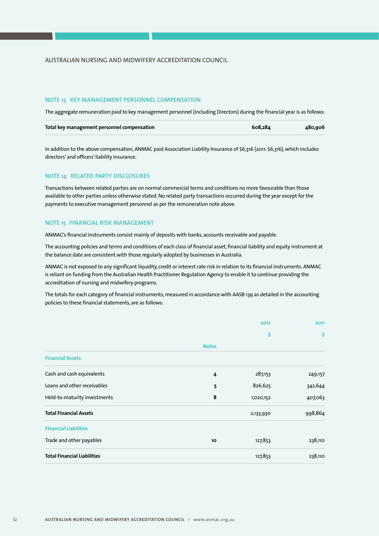### AUSTRALIAN NURSING AND MIDWIFERY ACCREDITATION COUNCIL

#### **NOTE 13 KEY MANAGEMENT PERSONNEL COMPENSATION**

The aggregate remuneration paid to key management personnel (including Directors) during the financial year is as follows:

| Total key management personnel compensation | 608.284 | 480,906 |
|---------------------------------------------|---------|---------|
|---------------------------------------------|---------|---------|

In addition to the above compensation, ANMAC paid Association Liability Insurance of \$6,316 (2011: \$6,316), which includes directors' and officers' liability insurance.

#### **NOTE 14 RELATED PARTY DISCLOSURES**

Transactions between related parties are on normal commercial terms and conditions no more favourable than those available to other parties unless otherwise stated. No related party transactions occurred during the year except for the payments to executive management personnel as per the remuneration note above.

### **NOTE 15 FINANCIAL RISK MANAGEMENT**

ANMAC's financial instruments consist mainly of deposits with banks, accounts receivable and payable.

The accounting policies and terms and conditions of each class of financial asset, financial liability and equity instrument at the balance date are consistent with those regularly adopted by businesses in Australia.

ANMAC is not exposed to any significant liquidity, credit or interest rate risk in relation to its financial instruments. ANMAC is reliant on funding from the Australian Health Practitioner Regulation Agency to enable it to continue providing the accreditation of nursing and midwifery programs.

The totals for each category of financial instruments, measured in accordance with AASB 139 as detailed in the accounting policies to these financial statements, are as follows:

|                                    |              | 2012      | 2011    |
|------------------------------------|--------------|-----------|---------|
|                                    |              | \$        | \$      |
|                                    | <b>Notes</b> |           |         |
| <b>Financial Assets</b>            |              |           |         |
| Cash and cash equivalents          | 4            | 287,153   | 249,157 |
| Loans and other receivables        | 5            | 826,625   | 342,644 |
| Held-to-maturity investments       | 8            | 1,020,152 | 407,063 |
| <b>Total Financial Assets</b>      |              | 2,133,930 | 998,864 |
| <b>Financial Liabilities</b>       |              |           |         |
| Trade and other payables           | 10           | 127,853   | 238,110 |
| <b>Total Financial Liabilities</b> |              | 127,853   | 238,110 |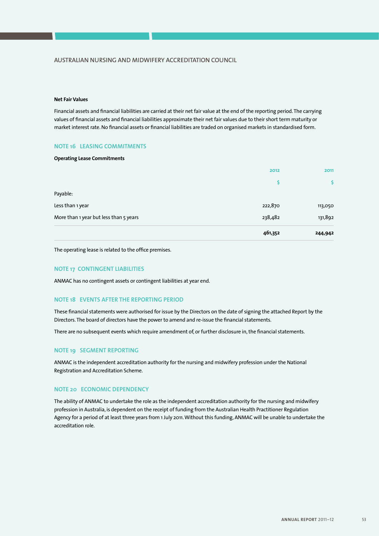### AUSTRALIAN NURSING AND MIDWIFERY ACCREDITATION COUNCIL

#### **Net Fair Values**

Financial assets and financial liabilities are carried at their net fair value at the end of the reporting period. The carrying values of financial assets and financial liabilities approximate their net fair values due to their short term maturity or market interest rate. No financial assets or financial liabilities are traded on organised markets in standardised form.

### **NOTE 16 LEASING COMMITMENTS**

#### **Operating Lease Commitments**

|                                        | 2012    | 2011    |
|----------------------------------------|---------|---------|
|                                        | \$      | S.      |
| Payable:                               |         |         |
| Less than 1 year                       | 222,870 | 113,050 |
| More than 1 year but less than 5 years | 238,482 | 131,892 |
|                                        | 461,352 | 244,942 |

The operating lease is related to the office premises.

### **NOTE 17 CONTINGENT LIABILITIES**

ANMAC has no contingent assets or contingent liabilities at year end.

### **NOTE 18 EVENTS AFTER THE REPORTING PERIOD**

These financial statements were authorised for issue by the Directors on the date of signing the attached Report by the Directors. The board of directors have the power to amend and re-issue the financial statements.

There are no subsequent events which require amendment of, or further disclosure in, the financial statements.

### **NOTE 19 SEGMENT REPORTING**

ANMAC is the independent accreditation authority for the nursing and midwifery profession under the National Registration and Accreditation Scheme.

### **NOTE 20 ECONOMIC DEPENDENCY**

The ability of ANMAC to undertake the role as the independent accreditation authority for the nursing and midwifery profession in Australia, is dependent on the receipt of funding from the Australian Health Practitioner Regulation Agency for a period of at least three years from 1 July 2011. Without this funding, ANMAC will be unable to undertake the accreditation role.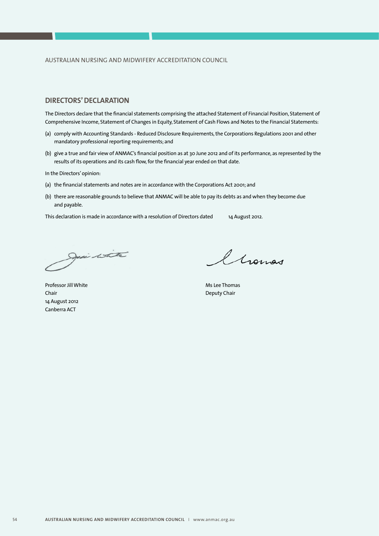### **DIRECTORS' DECLARATION**

The Directors declare that the financial statements comprising the attached Statement of Financial Position, Statement of Comprehensive Income, Statement of Changes in Equity, Statement of Cash Flows and Notes to the Financial Statements:

- (a) comply with Accounting Standards Reduced Disclosure Requirements, the Corporations Regulations 2001 and other mandatory professional reporting requirements; and
- (b) give a true and fair view of ANMAC's financial position as at 30 June 2012 and of its performance, as represented by the results of its operations and its cash flow, for the financial year ended on that date.

In the Directors' opinion:

- (a) the financial statements and notes are in accordance with the Corporations Act 2001; and
- (b) there are reasonable grounds to believe that ANMAC will be able to pay its debts as and when they become due and payable.

This declaration is made in accordance with a resolution of Directors dated 14 August 2012.

Jesi istra

Chomas

Professor Jill White **Ms Lee Thomas** Chair **Chair** Deputy Chair **Chair** Deputy Chair 14 August 2012 Canberra ACT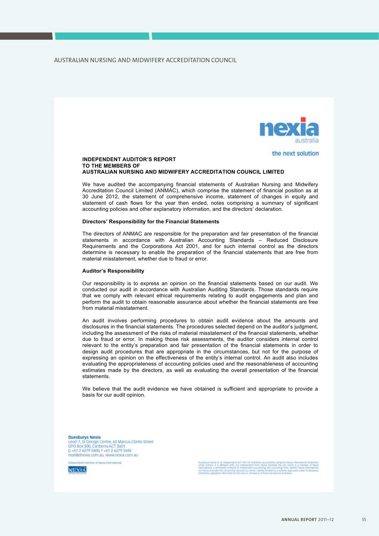

### the next solution

#### **INDEPENDENT AUDITOR'S REPORT TO THE MEMBERS OF AUSTRALIAN NURSING AND MIDWIFERY ACCREDITATION COUNCIL LIMITED**

We have audited the accompanying financial statements of Australian Nursing and Midwifery Accreditation Council Limited (ANMAC), which comprise the statement of financial position as at 30 June 2012, the statement of comprehensive income, statement of changes in equity and statement of cash flows for the year then ended, notes comprising a summary of significant accounting policies and other explanatory information, and the directors' declaration.

#### **Directors' Responsibility for the Financial Statements**

The directors of ANMAC are responsible for the preparation and fair presentation of the financial statements in accordance with Australian Accounting Standards – Reduced Disclosure Requirements and the Corporations Act 2001, and for such internal control as the directors determine is necessary to enable the preparation of the financial statements that are free from material misstatement, whether due to fraud or error.

#### **Auditor's Responsibility**

Our responsibility is to express an opinion on the financial statements based on our audit. We conducted our audit in accordance with Australian Auditing Standards. Those standards require that we comply with relevant ethical requirements relating to audit engagements and plan and perform the audit to obtain reasonable assurance about whether the financial statements are free from material misstatement.

An audit involves performing procedures to obtain audit evidence about the amounts and disclosures in the financial statements. The procedures selected depend on the auditor's judgment, including the assessment of the risks of material misstatement of the financial statements, whether due to fraud or error. In making those risk assessments, the auditor considers internal control relevant to the entity's preparation and fair presentation of the financial statements in order to design audit procedures that are appropriate in the circumstances, but not for the purpose of expressing an opinion on the effectiveness of the entity's internal control. An audit also includes evaluating the appropriateness of accounting policies used and the reasonableness of accounting estimates made by the directors, as well as evaluating the overall presentation of the financial statements.

We believe that the audit evidence we have obtained is sufficient and appropriate to provide a basis for our audit opinion.

**Duesburys Nexia**<br>Level 7, St George Centre, 60 Marcus Clarke Street<br>GPO Box 500, Canberra ACT 2601<br>p +61 2 6279 5400, f +61 2 6279 5444 mail@dnexia.com.au, www.nexia.com.au

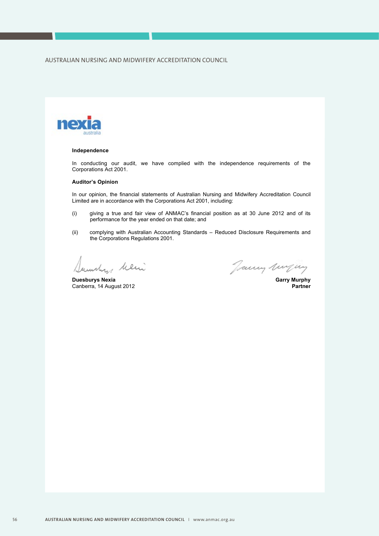

#### **Independence**

In conducting our audit, we have complied with the independence requirements of the Corporations Act 2001.

#### **Auditor's Opinion**

In our opinion, the financial statements of Australian Nursing and Midwifery Accreditation Council Limited are in accordance with the Corporations Act 2001, including:

- (i) giving a true and fair view of ANMAC's financial position as at 30 June 2012 and of its performance for the year ended on that date; and
- (ii) complying with Australian Accounting Standards Reduced Disclosure Requirements and the Corporations Regulations 2001.

aunchy believe

Canberra, 14 August 2012

*Dumby helm*<br>Duesburys Nexia Garry Murphy<br>Canberra. 14 August 2012 **Garry Murphy**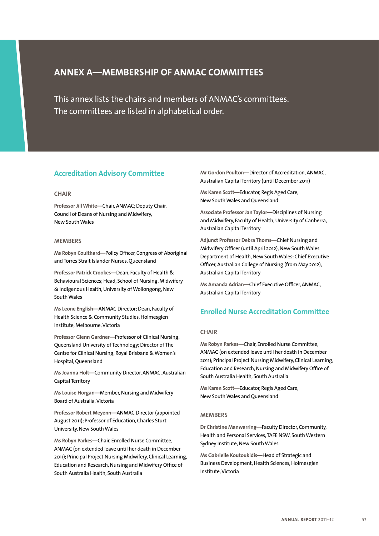# **Annex A—Membership of ANMAC committees**

This annex lists the chairs and members of ANMAC's committees. The committees are listed in alphabetical order.

### **Accreditation Advisory Committee**

### **Chair**

**Professor Jill White—**Chair, ANMAC; Deputy Chair, Council of Deans of Nursing and Midwifery, New SouthWales

#### **Members**

**Ms Robyn Coulthard—**Policy Officer, Congress of Aboriginal and Torres Strait Islander Nurses, Queensland

**Professor Patrick Crookes—**Dean, Faculty of Health & Behavioural Sciences; Head, School of Nursing, Midwifery & Indigenous Health, University of Wollongong, New South Wales

**Ms Leone English—**ANMAC Director; Dean, Faculty of Health Science & Community Studies, Holmesglen Institute, Melbourne, Victoria

**Professor Glenn Gardner—**Professor of Clinical Nursing, Queensland University of Technology; Director of The Centre for Clinical Nursing, Royal Brisbane & Women's Hospital, Queensland

**Ms Joanna Holt—**Community Director, ANMAC, Australian Capital Territory

**Ms Louise Horgan—**Member, Nursing and Midwifery Board of Australia, Victoria

**Professor Robert Meyenn—**ANMAC Director (appointed August 2011); Professor of Education, Charles Sturt University, New South Wales

**Ms Robyn Parkes—**Chair, Enrolled Nurse Committee, ANMAC (on extended leave until her death in December 2011); Principal Project Nursing Midwifery, Clinical Learning, Education and Research, Nursing and Midwifery Office of South Australia Health, South Australia

**Mr Gordon Poulton—**Director of Accreditation, ANMAC, Australian Capital Territory (until December 2011)

**Ms Karen Scott—**Educator, Regis Aged Care, New South Wales and Queensland

**Associate Professor Jan Taylor—**Disciplines of Nursing and Midwifery, Faculty of Health, University of Canberra, Australian Capital Territory

**Adjunct Professor Debra Thoms—**Chief Nursing and Midwifery Officer (until April 2012), New South Wales Department of Health, New South Wales; Chief Executive Officer, Australian College of Nursing (from May 2012), Australian Capital Territory

**Ms Amanda Adrian—**Chief Executive Officer, ANMAC, Australian Capital Territory

### **Enrolled Nurse Accreditation Committee**

### **Chair**

**Ms Robyn Parkes—**Chair, Enrolled Nurse Committee, ANMAC (on extended leave until her death in December 2011); Principal Project Nursing Midwifery, Clinical Learning, Education and Research, Nursing and Midwifery Office of South Australia Health, South Australia

**Ms Karen Scott—**Educator, Regis Aged Care, New South Wales and Queensland

### **Members**

**Dr Christine Manwarring—**Faculty Director, Community, Health and Personal Services, TAFE NSW, South Western Sydney Institute, New South Wales

**Ms Gabrielle Koutoukidis—**Head of Strategic and Business Development, Health Sciences, Holmesglen Institute, Victoria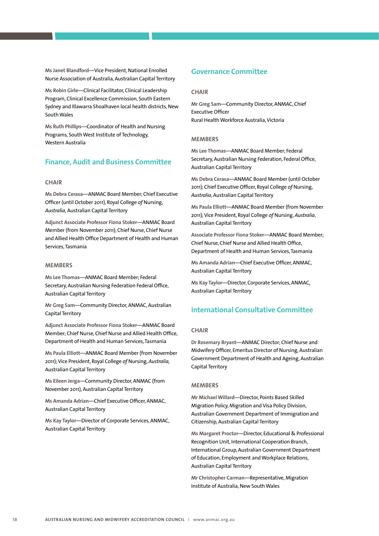**Ms Janet Blandford—**Vice President, National Enrolled Nurse Association of Australia, Australian Capital Territory

**Ms Robin Girle—**Clinical Facilitator, Clinical Leadership Program, Clinical Excellence Commission, South Eastern Sydney and Illawarra Shoalhaven local health districts, New South Wales

**Ms Ruth Phillips—**Coordinator of Health and Nursing Programs, South West Institute of Technology, Western Australia

### **Finance, Audit and Business Committee**

### **Chair**

**Ms Debra Cerasa—**ANMAC Board Member; Chief Executive Officer (until October 2011), Royal College *of* Nursing, *Australia,* Australian Capital Territory

**Adjunct Associate Professor Fiona Stoker—**ANMAC Board Member (from November 2011); Chief Nurse, Chief Nurse and Allied Health Office Department of Health and Human Services, Tasmania

#### **Members**

**Ms Lee Thomas—**ANMAC Board Member; Federal Secretary, Australian Nursing Federation Federal Office, Australian Capital Territory

**Mr Greg Sam—**Community Director, ANMAC, Australian Capital Territory

**Adjunct Associate Professor Fiona Stoker—**ANMAC Board Member; Chief Nurse, Chief Nurse and Allied Health Office, Department of Health and Human Services, Tasmania

**Ms Paula Elliott—**ANMAC Board Member (from November 2011); Vice President, Royal College *of* Nursing, *Australia,* Australian Capital Territory

**Ms Eileen Jerga—**Community Director, ANMAC (from November 2011), Australian Capital Territory

**Ms Amanda Adrian—**Chief Executive Officer, ANMAC, Australian Capital Territory

**Ms Kay Taylor—**Director of Corporate Services, ANMAC, Australian Capital Territory

### **Governance Committee**

### **Chair**

**Mr Greg Sam—**Community Director, ANMAC, Chief Executive Officer Rural Health Workforce Australia, Victoria

#### **Members**

**Ms Lee Thomas—**ANMAC Board Member; Federal Secretary, Australian Nursing Federation, Federal Office, Australian Capital Territory

**Ms Debra Cerasa—**ANMAC Board Member (until October 2011); Chief Executive Officer, Royal College *of* Nursing, *Australia*, Australian Capital Territory

**Ms Paula Elliott—**ANMAC Board Member (from November 2011); Vice President, Royal College *of* Nursing, *Australia*, Australian Capital Territory

**Associate Professor Fiona Stoker—**ANMAC Board Member; Chief Nurse, Chief Nurse and Allied Health Office, Department of Health and Human Services, Tasmania

**Ms Amanda Adrian—**Chief Executive Officer, ANMAC, Australian Capital Territory

**Ms Kay Taylor—**Director, Corporate Services, ANMAC, Australian Capital Territory

### **International Consultative Committee**

### **Chair**

**Dr Rosemary Bryant—**ANMAC Director; Chief Nurse and Midwifery Officer, Emeritus Director of Nursing, Australian Government Department of Health and Ageing, Australian Capital Territory

#### **Members**

**Mr Michael Willard—**Director, Points Based Skilled Migration Policy, Migration and Visa Policy Division, Australian Government Department of Immigration and Citizenship, Australian Capital Territory

**Ms Margaret Proctor—**Director, Educational & Professional Recognition Unit, International Cooperation Branch, International Group, Australian Government Department of Education, Employment and Workplace Relations, Australian Capital Territory

**Mr Christopher Carman—**Representative, Migration Institute of Australia, New South Wales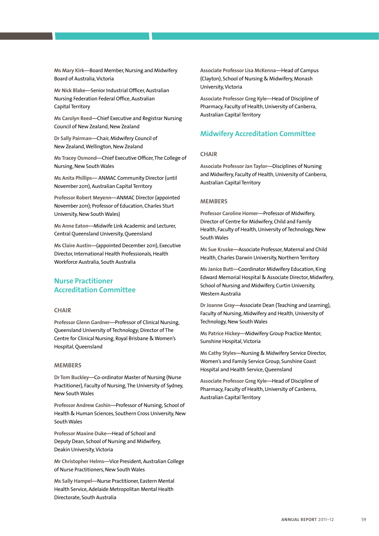**Ms Mary Kirk—**Board Member, Nursing and Midwifery Board of Australia, Victoria

**Mr Nick Blake—**Senior Industrial Officer, Australian Nursing Federation Federal Office, Australian Capital Territory

**Ms Carolyn Reed—**Chief Executive and Registrar Nursing Council of New Zealand, New Zealand

**Dr Sally Pairman—**Chair, Midwifery Council of New Zealand, Wellington, New Zealand

**Ms Tracey Osmond—**Chief Executive Officer, The College of Nursing, New South Wales

**Ms Anita Phillips—** ANMAC Community Director (until November 2011), Australian Capital Territory

**Professor Robert Meyenn—**ANMAC Director (appointed November 2011); Professor of Education, Charles Sturt University, New South Wales)

**Ms Anne Eaton—**Midwife Link Academic and Lecturer, Central Queensland University, Queensland

**Ms Claire Austin—**(appointed December 2011), Executive Director, International Health Professionals, Health Workforce Australia, South Australia

### **Nurse Practitioner Accreditation Committee**

### **Chair**

**Professor Glenn Gardner—**Professor of Clinical Nursing, Queensland University of Technology; Director of The Centre for Clinical Nursing, Royal Brisbane & Women's Hospital, Queensland

### **Members**

**Dr Tom Buckley—**Co-ordinator Master of Nursing (Nurse Practitioner), Faculty of Nursing, The University of Sydney, New South Wales

**Professor Andrew Cashin—**Professor of Nursing, School of Health & Human Sciences, Southern Cross University, New South Wales

**Professor Maxine Duke—**Head of School and Deputy Dean, School of Nursing and Midwifery, Deakin University, Victoria

**Mr Christopher Helms—**Vice President, Australian College of Nurse Practitioners, New South Wales

**Ms Sally Hampel—**Nurse Practitioner, Eastern Mental Health Service, Adelaide Metropolitan Mental Health Directorate, South Australia

**Associate Professor Lisa McKenna—**Head of Campus (Clayton), School of Nursing & Midwifery, Monash University, Victoria

**Associate Professor Greg Kyle—**Head of Discipline of Pharmacy, Faculty of Health, University of Canberra, Australian Capital Territory

### **Midwifery Accreditation Committee**

#### **Chair**

**Associate Professor Jan Taylor—**Disciplines of Nursing and Midwifery, Faculty of Health, University of Canberra, Australian Capital Territory

#### **Members**

**Professor Caroline Homer—**Professor of Midwifery, Director of Centre for Midwifery, Child and Family Health, Faculty of Health, University of Technology, New SouthWales

**Ms Sue Kruske—**Associate Professor, Maternal and Child Health, Charles Darwin University, Northern Territory

**Ms Janice Butt—**Coordinator Midwifery Education, King Edward Memorial Hospital & Associate Director, Midwifery, School of Nursing and Midwifery, Curtin University, Western Australia

**Dr Joanne Gray—**Associate Dean (Teaching and Learning), Faculty of Nursing, Midwifery and Health, University of Technology, New South Wales

**Ms Patrice Hickey—**Midwifery Group Practice Mentor, Sunshine Hospital, Victoria

**Ms Cathy Styles—**Nursing & Midwifery Service Director, Women's and Family Service Group, Sunshine Coast Hospital and Health Service, Queensland

**Associate Professor Greg Kyle—**Head of Discipline of Pharmacy, Faculty of Health, University of Canberra, Australian Capital Territory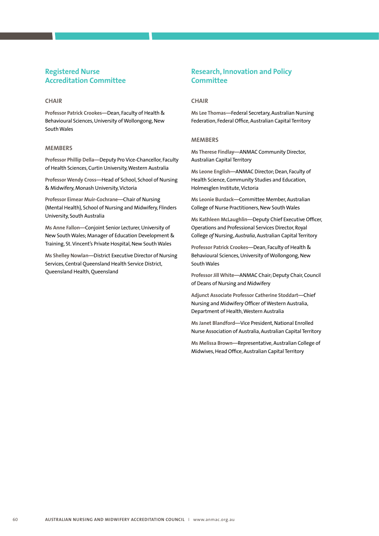### **Registered Nurse Accreditation Committee**

### **Chair**

**Professor Patrick Crookes—**Dean, Faculty of Health & Behavioural Sciences, University of Wollongong, New South Wales

#### **Members**

**Professor Phillip Della—**Deputy Pro Vice-Chancellor, Faculty of Health Sciences, Curtin University, Western Australia

**Professor Wendy Cross—**Head of School, School of Nursing & Midwifery, Monash University, Victoria

**Professor Eimear Muir-Cochrane—**Chair of Nursing (Mental Health), School of Nursing and Midwifery, Flinders University, South Australia

**Ms Anne Fallon—**Conjoint Senior Lecturer, University of New South Wales; Manager of Education Development & Training, St. Vincent's Private Hospital, New South Wales

**Ms Shelley Nowlan—**District Executive Director of Nursing Services, Central Queensland Health Service District, Queensland Health, Queensland

### **Research, Innovation and Policy Committee**

### **Chair**

**Ms Lee Thomas—**Federal Secretary, Australian Nursing Federation, Federal Office, Australian Capital Territory

#### **Members**

**Ms Therese Findlay—**ANMAC Community Director, Australian Capital Territory

**Ms Leone English—**ANMAC Director; Dean, Faculty of Health Science, Community Studies and Education, Holmesglen Institute, Victoria

**Ms Leonie Burdack—**Committee Member, Australian College of Nurse Practitioners, New South Wales

**Ms Kathleen McLaughlin—**Deputy Chief Executive Officer, Operations and Professional Services Director, Royal College *of* Nursing, *Australia*, Australian Capital Territory

**Professor Patrick Crookes—**Dean, Faculty of Health & Behavioural Sciences, University of Wollongong, New South Wales

**Professor Jill White—**ANMAC Chair; Deputy Chair, Council of Deans of Nursing and Midwifery

**Adjunct Associate Professor Catherine Stoddart—**Chief Nursing and Midwifery Officer of Western Australia, Department of Health, Western Australia

**Ms Janet Blandford—**Vice President, National Enrolled Nurse Association of Australia, Australian Capital Territory

**Ms Melissa Brown—**Representative, Australian College of Midwives, Head Office, Australian Capital Territory